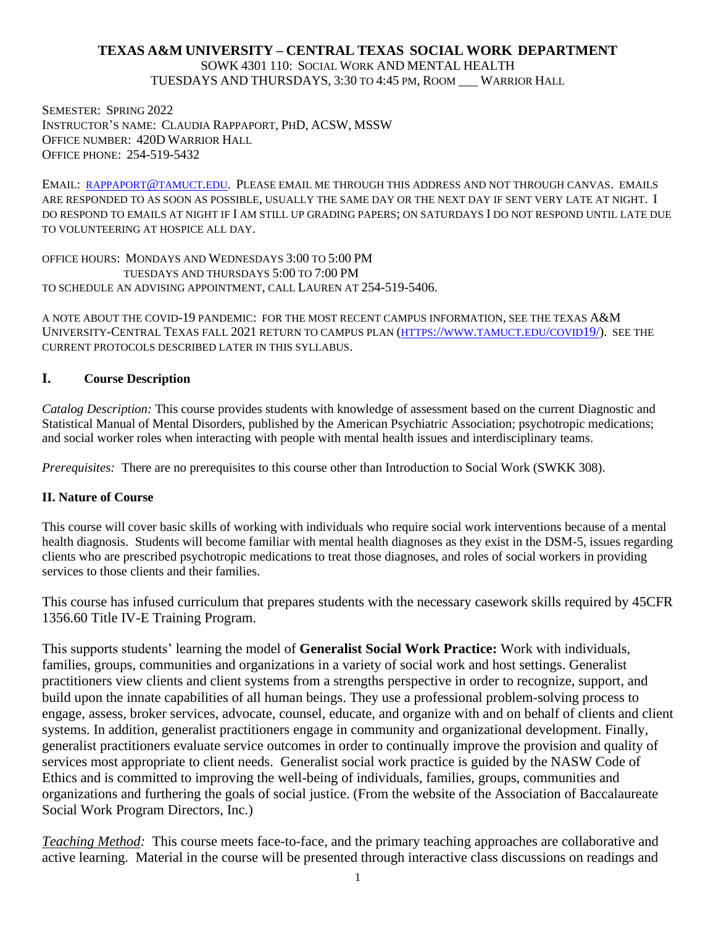### **TEXAS A&M UNIVERSITY – CENTRAL TEXAS SOCIAL WORK DEPARTMENT**

SOWK 4301 110: SOCIAL WORK AND MENTAL HEALTH TUESDAYS AND THURSDAYS, 3:30 TO 4:45 PM, ROOM \_\_\_ WARRIOR HALL

SEMESTER: SPRING 2022 INSTRUCTOR'S NAME: CLAUDIA RAPPAPORT, PHD, ACSW, MSSW OFFICE NUMBER: 420D WARRIOR HALL OFFICE PHONE: 254-519-5432

EMAIL: [RAPPAPORT](mailto:rappaport@tamuct.edu)@TAMUCT.EDU. PLEASE EMAIL ME THROUGH THIS ADDRESS AND NOT THROUGH CANVAS. EMAILS ARE RESPONDED TO AS SOON AS POSSIBLE, USUALLY THE SAME DAY OR THE NEXT DAY IF SENT VERY LATE AT NIGHT. I DO RESPOND TO EMAILS AT NIGHT IF I AM STILL UP GRADING PAPERS; ON SATURDAYS I DO NOT RESPOND UNTIL LATE DUE TO VOLUNTEERING AT HOSPICE ALL DAY.

OFFICE HOURS: MONDAYS AND WEDNESDAYS 3:00 TO 5:00 PM TUESDAYS AND THURSDAYS 5:00 TO 7:00 PM TO SCHEDULE AN ADVISING APPOINTMENT, CALL LAUREN AT 254-519-5406.

A NOTE ABOUT THE COVID-19 PANDEMIC: FOR THE MOST RECENT CAMPUS INFORMATION, SEE THE TEXAS A&M UNIVERSITY-CENTRAL TEXAS FALL 2021 RETURN TO CAMPUS PLAN (HTTPS://WWW.[TAMUCT](https://www.tamuct.edu/covid19/).EDU/COVID19/). SEE THE CURRENT PROTOCOLS DESCRIBED LATER IN THIS SYLLABUS.

#### **I. Course Description**

*Catalog Description:* This course provides students with knowledge of assessment based on the current Diagnostic and Statistical Manual of Mental Disorders, published by the American Psychiatric Association; psychotropic medications; and social worker roles when interacting with people with mental health issues and interdisciplinary teams.

*Prerequisites:* There are no prerequisites to this course other than Introduction to Social Work (SWKK 308).

#### **II. Nature of Course**

This course will cover basic skills of working with individuals who require social work interventions because of a mental health diagnosis. Students will become familiar with mental health diagnoses as they exist in the DSM-5, issues regarding clients who are prescribed psychotropic medications to treat those diagnoses, and roles of social workers in providing services to those clients and their families.

This course has infused curriculum that prepares students with the necessary casework skills required by 45CFR 1356.60 Title IV-E Training Program.

This supports students' learning the model of **Generalist Social Work Practice:** Work with individuals, families, groups, communities and organizations in a variety of social work and host settings. Generalist practitioners view clients and client systems from a strengths perspective in order to recognize, support, and build upon the innate capabilities of all human beings. They use a professional problem-solving process to engage, assess, broker services, advocate, counsel, educate, and organize with and on behalf of clients and client systems. In addition, generalist practitioners engage in community and organizational development. Finally, generalist practitioners evaluate service outcomes in order to continually improve the provision and quality of services most appropriate to client needs. Generalist social work practice is guided by the NASW Code of Ethics and is committed to improving the well-being of individuals, families, groups, communities and organizations and furthering the goals of social justice. (From the website of the Association of Baccalaureate Social Work Program Directors, Inc.)

*Teaching Method:* This course meets face-to-face, and the primary teaching approaches are collaborative and active learning. Material in the course will be presented through interactive class discussions on readings and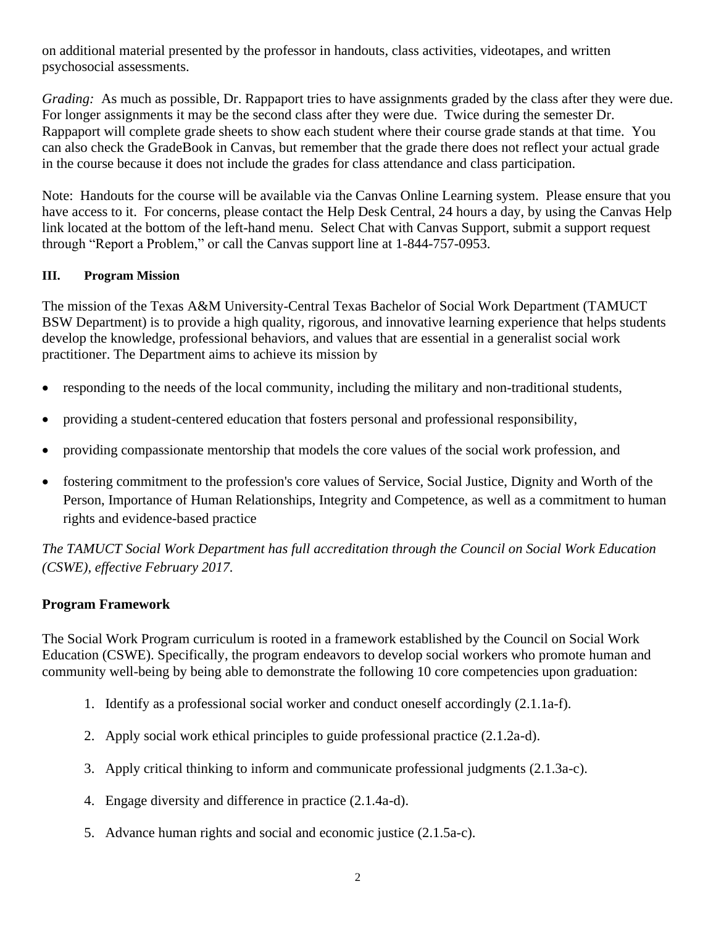on additional material presented by the professor in handouts, class activities, videotapes, and written psychosocial assessments.

*Grading:* As much as possible, Dr. Rappaport tries to have assignments graded by the class after they were due. For longer assignments it may be the second class after they were due. Twice during the semester Dr. Rappaport will complete grade sheets to show each student where their course grade stands at that time. You can also check the GradeBook in Canvas, but remember that the grade there does not reflect your actual grade in the course because it does not include the grades for class attendance and class participation.

Note: Handouts for the course will be available via the Canvas Online Learning system. Please ensure that you have access to it. For concerns, please contact the Help Desk Central, 24 hours a day, by using the Canvas Help link located at the bottom of the left-hand menu. Select Chat with Canvas Support, submit a support request through "Report a Problem," or call the Canvas support line at 1-844-757-0953.

# **III. Program Mission**

The mission of the Texas A&M University-Central Texas Bachelor of Social Work Department (TAMUCT BSW Department) is to provide a high quality, rigorous, and innovative learning experience that helps students develop the knowledge, professional behaviors, and values that are essential in a generalist social work practitioner. The Department aims to achieve its mission by

- responding to the needs of the local community, including the military and non-traditional students,
- providing a student-centered education that fosters personal and professional responsibility,
- providing compassionate mentorship that models the core values of the social work profession, and
- fostering commitment to the profession's core values of Service, Social Justice, Dignity and Worth of the Person, Importance of Human Relationships, Integrity and Competence, as well as a commitment to human rights and evidence-based practice

*The TAMUCT Social Work Department has full accreditation through the Council on Social Work Education (CSWE), effective February 2017.*

# **Program Framework**

The Social Work Program curriculum is rooted in a framework established by the Council on Social Work Education (CSWE). Specifically, the program endeavors to develop social workers who promote human and community well-being by being able to demonstrate the following 10 core competencies upon graduation:

- 1. Identify as a professional social worker and conduct oneself accordingly (2.1.1a-f).
- 2. Apply social work ethical principles to guide professional practice (2.1.2a-d).
- 3. Apply critical thinking to inform and communicate professional judgments (2.1.3a-c).
- 4. Engage diversity and difference in practice (2.1.4a-d).
- 5. Advance human rights and social and economic justice (2.1.5a-c).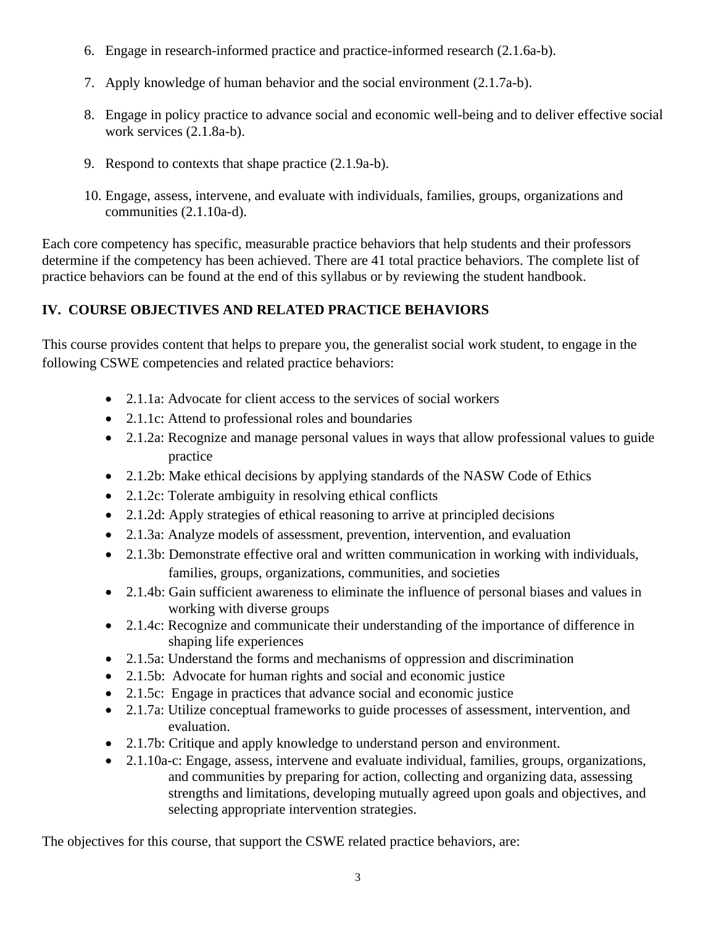- 6. Engage in research-informed practice and practice-informed research (2.1.6a-b).
- 7. Apply knowledge of human behavior and the social environment (2.1.7a-b).
- 8. Engage in policy practice to advance social and economic well-being and to deliver effective social work services (2.1.8a-b).
- 9. Respond to contexts that shape practice (2.1.9a-b).
- 10. Engage, assess, intervene, and evaluate with individuals, families, groups, organizations and communities (2.1.10a-d).

Each core competency has specific, measurable practice behaviors that help students and their professors determine if the competency has been achieved. There are 41 total practice behaviors. The complete list of practice behaviors can be found at the end of this syllabus or by reviewing the student handbook.

# **IV. COURSE OBJECTIVES AND RELATED PRACTICE BEHAVIORS**

This course provides content that helps to prepare you, the generalist social work student, to engage in the following CSWE competencies and related practice behaviors:

- 2.1.1a: Advocate for client access to the services of social workers
- 2.1.1c: Attend to professional roles and boundaries
- 2.1.2a: Recognize and manage personal values in ways that allow professional values to guide practice
- 2.1.2b: Make ethical decisions by applying standards of the NASW Code of Ethics
- 2.1.2c: Tolerate ambiguity in resolving ethical conflicts
- 2.1.2d: Apply strategies of ethical reasoning to arrive at principled decisions
- 2.1.3a: Analyze models of assessment, prevention, intervention, and evaluation
- 2.1.3b: Demonstrate effective oral and written communication in working with individuals, families, groups, organizations, communities, and societies
- 2.1.4b: Gain sufficient awareness to eliminate the influence of personal biases and values in working with diverse groups
- 2.1.4c: Recognize and communicate their understanding of the importance of difference in shaping life experiences
- 2.1.5a: Understand the forms and mechanisms of oppression and discrimination
- 2.1.5b: Advocate for human rights and social and economic justice
- 2.1.5c: Engage in practices that advance social and economic justice
- 2.1.7a: Utilize conceptual frameworks to guide processes of assessment, intervention, and evaluation.
- 2.1.7b: Critique and apply knowledge to understand person and environment.
- 2.1.10a-c: Engage, assess, intervene and evaluate individual, families, groups, organizations, and communities by preparing for action, collecting and organizing data, assessing strengths and limitations, developing mutually agreed upon goals and objectives, and selecting appropriate intervention strategies.

The objectives for this course, that support the CSWE related practice behaviors, are: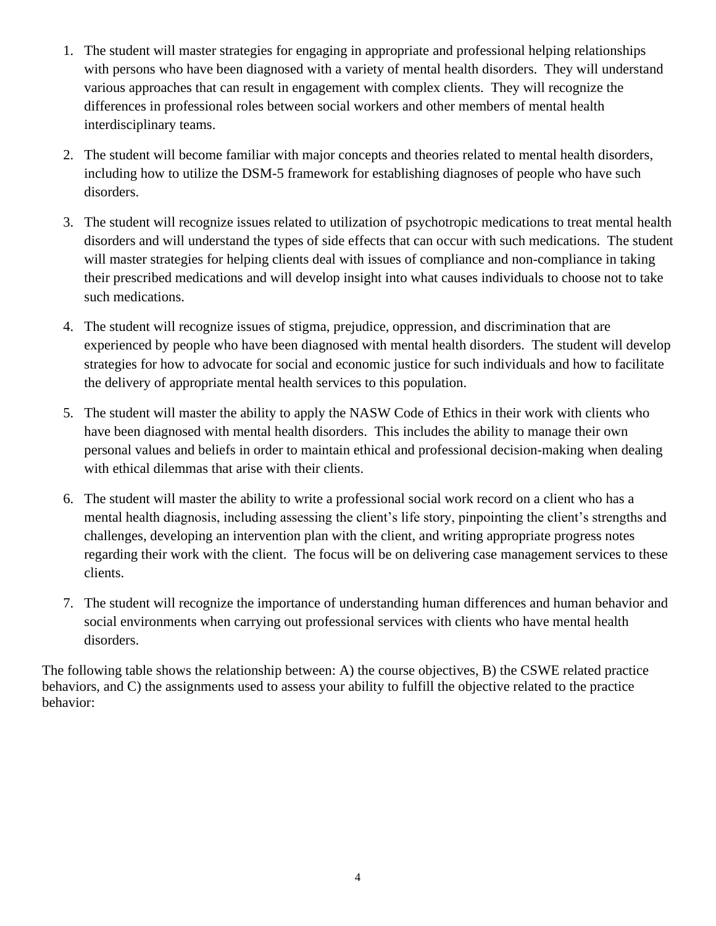- 1. The student will master strategies for engaging in appropriate and professional helping relationships with persons who have been diagnosed with a variety of mental health disorders. They will understand various approaches that can result in engagement with complex clients. They will recognize the differences in professional roles between social workers and other members of mental health interdisciplinary teams.
- 2. The student will become familiar with major concepts and theories related to mental health disorders, including how to utilize the DSM-5 framework for establishing diagnoses of people who have such disorders.
- 3. The student will recognize issues related to utilization of psychotropic medications to treat mental health disorders and will understand the types of side effects that can occur with such medications. The student will master strategies for helping clients deal with issues of compliance and non-compliance in taking their prescribed medications and will develop insight into what causes individuals to choose not to take such medications.
- 4. The student will recognize issues of stigma, prejudice, oppression, and discrimination that are experienced by people who have been diagnosed with mental health disorders. The student will develop strategies for how to advocate for social and economic justice for such individuals and how to facilitate the delivery of appropriate mental health services to this population.
- 5. The student will master the ability to apply the NASW Code of Ethics in their work with clients who have been diagnosed with mental health disorders. This includes the ability to manage their own personal values and beliefs in order to maintain ethical and professional decision-making when dealing with ethical dilemmas that arise with their clients.
- 6. The student will master the ability to write a professional social work record on a client who has a mental health diagnosis, including assessing the client's life story, pinpointing the client's strengths and challenges, developing an intervention plan with the client, and writing appropriate progress notes regarding their work with the client. The focus will be on delivering case management services to these clients.
- 7. The student will recognize the importance of understanding human differences and human behavior and social environments when carrying out professional services with clients who have mental health disorders.

The following table shows the relationship between: A) the course objectives, B) the CSWE related practice behaviors, and C) the assignments used to assess your ability to fulfill the objective related to the practice behavior: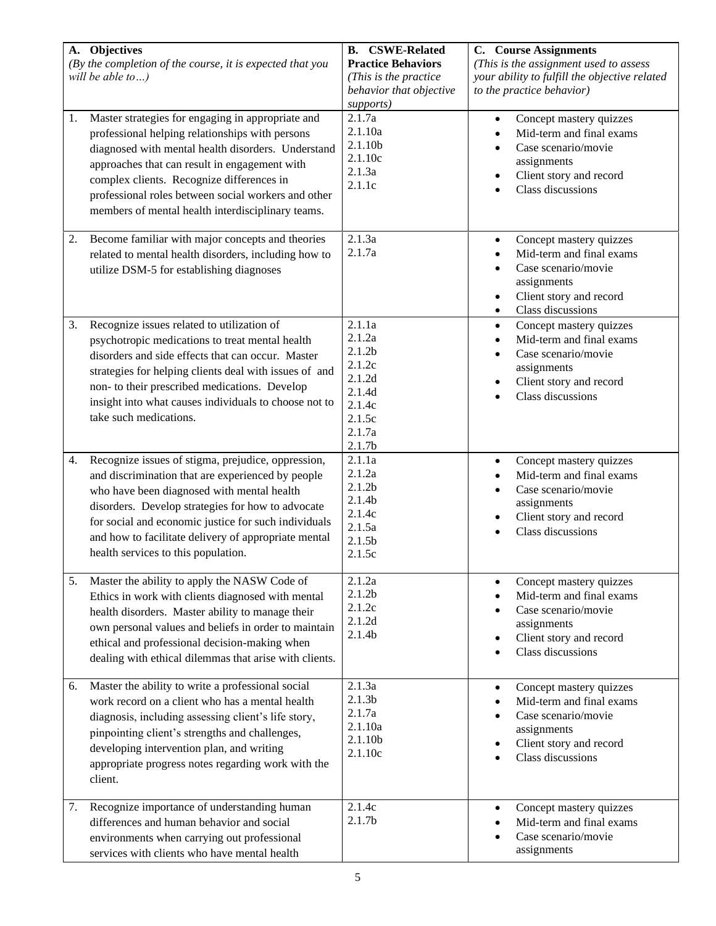| A. Objectives<br>(By the completion of the course, it is expected that you<br>will be able to)                                                                                                                                                                                                                                                                             | <b>B.</b> CSWE-Related<br><b>Practice Behaviors</b><br>(This is the practice<br>behavior that objective<br>supports)     | <b>C.</b> Course Assignments<br>(This is the assignment used to assess<br>your ability to fulfill the objective related<br>to the practice behavior)                             |
|----------------------------------------------------------------------------------------------------------------------------------------------------------------------------------------------------------------------------------------------------------------------------------------------------------------------------------------------------------------------------|--------------------------------------------------------------------------------------------------------------------------|----------------------------------------------------------------------------------------------------------------------------------------------------------------------------------|
| Master strategies for engaging in appropriate and<br>1.<br>professional helping relationships with persons<br>diagnosed with mental health disorders. Understand<br>approaches that can result in engagement with<br>complex clients. Recognize differences in<br>professional roles between social workers and other<br>members of mental health interdisciplinary teams. | 2.1.7a<br>2.1.10a<br>2.1.10b<br>2.1.10c<br>2.1.3a<br>2.1.1c                                                              | Concept mastery quizzes<br>$\bullet$<br>Mid-term and final exams<br>$\bullet$<br>Case scenario/movie<br>assignments<br>Client story and record<br>$\bullet$<br>Class discussions |
| Become familiar with major concepts and theories<br>2.<br>related to mental health disorders, including how to<br>utilize DSM-5 for establishing diagnoses                                                                                                                                                                                                                 | 2.1.3a<br>2.1.7a                                                                                                         | Concept mastery quizzes<br>$\bullet$<br>Mid-term and final exams<br>Case scenario/movie<br>assignments<br>Client story and record<br>$\bullet$<br>Class discussions<br>$\bullet$ |
| 3.<br>Recognize issues related to utilization of<br>psychotropic medications to treat mental health<br>disorders and side effects that can occur. Master<br>strategies for helping clients deal with issues of and<br>non- to their prescribed medications. Develop<br>insight into what causes individuals to choose not to<br>take such medications.                     | 2.1.1a<br>2.1.2a<br>2.1.2 <sub>b</sub><br>2.1.2c<br>2.1.2d<br>2.1.4d<br>2.1.4c<br>2.1.5c<br>2.1.7a<br>2.1.7 <sub>b</sub> | Concept mastery quizzes<br>$\bullet$<br>Mid-term and final exams<br>$\bullet$<br>Case scenario/movie<br>assignments<br>Client story and record<br>$\bullet$<br>Class discussions |
| Recognize issues of stigma, prejudice, oppression,<br>4.<br>and discrimination that are experienced by people<br>who have been diagnosed with mental health<br>disorders. Develop strategies for how to advocate<br>for social and economic justice for such individuals<br>and how to facilitate delivery of appropriate mental<br>health services to this population.    | 2.1.1a<br>2.1.2a<br>2.1.2 <sub>b</sub><br>2.1.4 <sub>b</sub><br>2.1.4c<br>2.1.5a<br>2.1.5 <sub>b</sub><br>2.1.5c         | Concept mastery quizzes<br>$\bullet$<br>Mid-term and final exams<br>Case scenario/movie<br>$\bullet$<br>assignments<br>Client story and record<br>$\bullet$<br>Class discussions |
| Master the ability to apply the NASW Code of<br>5.<br>Ethics in work with clients diagnosed with mental<br>health disorders. Master ability to manage their<br>own personal values and beliefs in order to maintain<br>ethical and professional decision-making when<br>dealing with ethical dilemmas that arise with clients.                                             | 2.1.2a<br>2.1.2 <sub>b</sub><br>2.1.2c<br>2.1.2d<br>2.1.4 <sub>b</sub>                                                   | Concept mastery quizzes<br>$\bullet$<br>Mid-term and final exams<br>Case scenario/movie<br>assignments<br>Client story and record<br>$\bullet$<br>Class discussions              |
| Master the ability to write a professional social<br>6.<br>work record on a client who has a mental health<br>diagnosis, including assessing client's life story,<br>pinpointing client's strengths and challenges,<br>developing intervention plan, and writing<br>appropriate progress notes regarding work with the<br>client.                                          | 2.1.3a<br>2.1.3 <sub>b</sub><br>2.1.7a<br>2.1.10a<br>2.1.10b<br>2.1.10c                                                  | Concept mastery quizzes<br>$\bullet$<br>Mid-term and final exams<br>Case scenario/movie<br>assignments<br>Client story and record<br>$\bullet$<br>Class discussions              |
| Recognize importance of understanding human<br>7.<br>differences and human behavior and social<br>environments when carrying out professional<br>services with clients who have mental health                                                                                                                                                                              | 2.1.4c<br>2.1.7 <sub>b</sub>                                                                                             | Concept mastery quizzes<br>$\bullet$<br>Mid-term and final exams<br>Case scenario/movie<br>assignments                                                                           |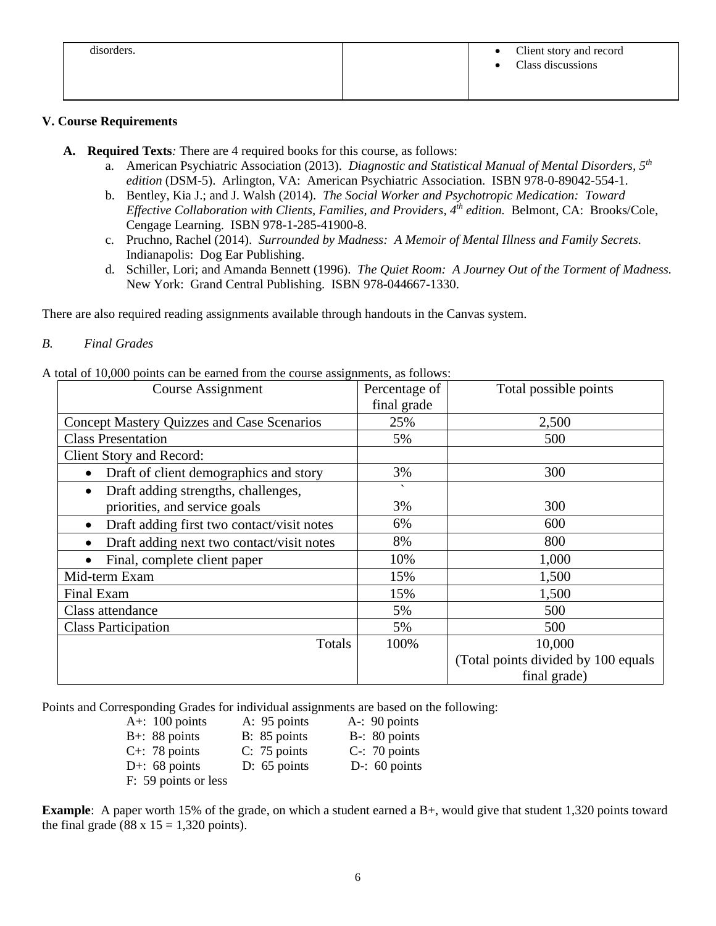| disorders. | Client story and record<br>$\bullet$<br>Class discussions |
|------------|-----------------------------------------------------------|
|            |                                                           |

#### **V. Course Requirements**

- **A. Required Texts***:* There are 4 required books for this course, as follows:
	- a. American Psychiatric Association (2013). *Diagnostic and Statistical Manual of Mental Disorders, 5th edition* (DSM-5). Arlington, VA: American Psychiatric Association. ISBN 978-0-89042-554-1.
	- b. Bentley, Kia J.; and J. Walsh (2014). *The Social Worker and Psychotropic Medication: Toward Effective Collaboration with Clients, Families, and Providers, 4th edition.* Belmont, CA: Brooks/Cole, Cengage Learning. ISBN 978-1-285-41900-8.
	- c. Pruchno, Rachel (2014). *Surrounded by Madness: A Memoir of Mental Illness and Family Secrets.* Indianapolis: Dog Ear Publishing.
	- d. Schiller, Lori; and Amanda Bennett (1996). *The Quiet Room: A Journey Out of the Torment of Madness.* New York: Grand Central Publishing. ISBN 978-044667-1330.

There are also required reading assignments available through handouts in the Canvas system.

#### *B. Final Grades*

A total of 10,000 points can be earned from the course assignments, as follows:

| Course Assignment                                       | Percentage of            | Total possible points               |
|---------------------------------------------------------|--------------------------|-------------------------------------|
|                                                         | final grade              |                                     |
| <b>Concept Mastery Quizzes and Case Scenarios</b>       | 25%                      | 2,500                               |
| <b>Class Presentation</b>                               | 5%                       | 500                                 |
| <b>Client Story and Record:</b>                         |                          |                                     |
| Draft of client demographics and story<br>$\bullet$     | 3%                       | 300                                 |
| Draft adding strengths, challenges,<br>$\bullet$        | $\overline{\phantom{0}}$ |                                     |
| priorities, and service goals                           | 3%                       | 300                                 |
| Draft adding first two contact/visit notes<br>$\bullet$ | 6%                       | 600                                 |
| Draft adding next two contact/visit notes<br>$\bullet$  | 8%                       | 800                                 |
| Final, complete client paper                            | 10%                      | 1,000                               |
| Mid-term Exam                                           | 15%                      | 1,500                               |
| Final Exam                                              | 15%                      | 1,500                               |
| Class attendance                                        | 5%                       | 500                                 |
| <b>Class Participation</b>                              | 5%                       | 500                                 |
| Totals                                                  | 100%                     | 10,000                              |
|                                                         |                          | (Total points divided by 100 equals |
|                                                         |                          | final grade)                        |

Points and Corresponding Grades for individual assignments are based on the following:

| A+: $100$ points      | A: 95 points   | A-: $90$ points  |
|-----------------------|----------------|------------------|
| $B+$ : 88 points      | B: 85 points   | $B-$ : 80 points |
| $C_{\pm}$ : 78 points | $C: 75$ points | $C-$ : 70 points |
| D+: $68$ points       | $D: 65$ points | D-: $60$ points  |
| F: 59 points or less  |                |                  |

**Example**: A paper worth 15% of the grade, on which a student earned a B+, would give that student 1,320 points toward the final grade (88 x  $15 = 1,320$  points).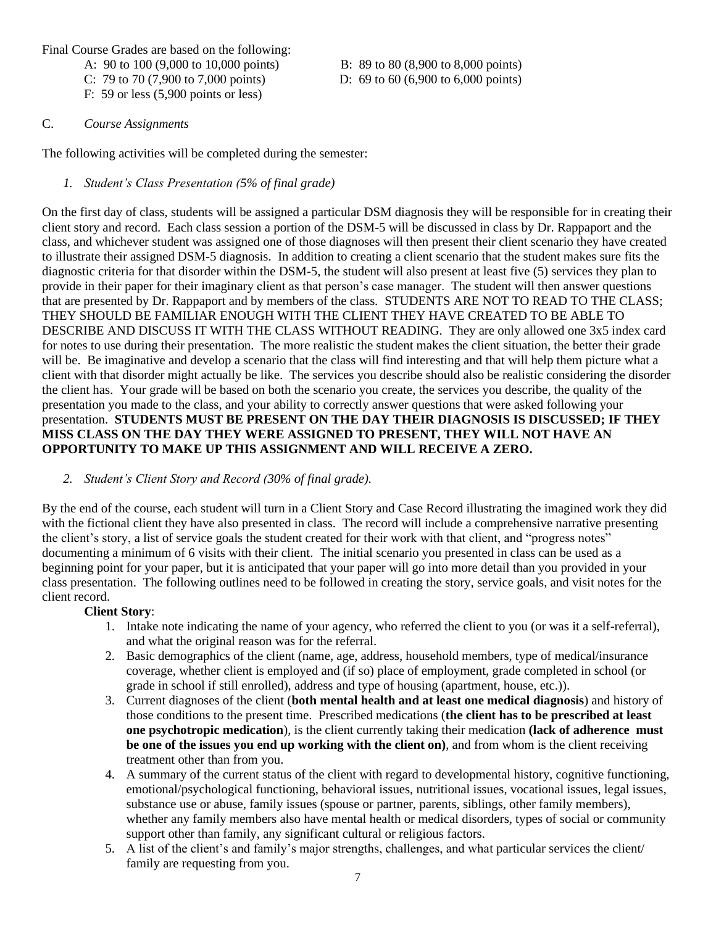Final Course Grades are based on the following:

- A: 90 to 100 (9,000 to 10,000 points) B: 89 to 80 (8,900 to 8,000 points)
- C: 79 to 70 (7,900 to 7,000 points) D: 69 to 60 (6,900 to 6,000 points)

F: 59 or less (5,900 points or less)

#### C. *Course Assignments*

The following activities will be completed during the semester:

#### *1. Student's Class Presentation (5% of final grade)*

On the first day of class, students will be assigned a particular DSM diagnosis they will be responsible for in creating their client story and record. Each class session a portion of the DSM-5 will be discussed in class by Dr. Rappaport and the class, and whichever student was assigned one of those diagnoses will then present their client scenario they have created to illustrate their assigned DSM-5 diagnosis. In addition to creating a client scenario that the student makes sure fits the diagnostic criteria for that disorder within the DSM-5, the student will also present at least five (5) services they plan to provide in their paper for their imaginary client as that person's case manager. The student will then answer questions that are presented by Dr. Rappaport and by members of the class. STUDENTS ARE NOT TO READ TO THE CLASS; THEY SHOULD BE FAMILIAR ENOUGH WITH THE CLIENT THEY HAVE CREATED TO BE ABLE TO DESCRIBE AND DISCUSS IT WITH THE CLASS WITHOUT READING. They are only allowed one 3x5 index card for notes to use during their presentation. The more realistic the student makes the client situation, the better their grade will be. Be imaginative and develop a scenario that the class will find interesting and that will help them picture what a client with that disorder might actually be like. The services you describe should also be realistic considering the disorder the client has. Your grade will be based on both the scenario you create, the services you describe, the quality of the presentation you made to the class, and your ability to correctly answer questions that were asked following your presentation. **STUDENTS MUST BE PRESENT ON THE DAY THEIR DIAGNOSIS IS DISCUSSED; IF THEY MISS CLASS ON THE DAY THEY WERE ASSIGNED TO PRESENT, THEY WILL NOT HAVE AN OPPORTUNITY TO MAKE UP THIS ASSIGNMENT AND WILL RECEIVE A ZERO.**

#### *2. Student's Client Story and Record (30% of final grade).*

By the end of the course, each student will turn in a Client Story and Case Record illustrating the imagined work they did with the fictional client they have also presented in class. The record will include a comprehensive narrative presenting the client's story, a list of service goals the student created for their work with that client, and "progress notes" documenting a minimum of 6 visits with their client. The initial scenario you presented in class can be used as a beginning point for your paper, but it is anticipated that your paper will go into more detail than you provided in your class presentation. The following outlines need to be followed in creating the story, service goals, and visit notes for the client record.

#### **Client Story**:

- 1. Intake note indicating the name of your agency, who referred the client to you (or was it a self-referral), and what the original reason was for the referral.
- 2. Basic demographics of the client (name, age, address, household members, type of medical/insurance coverage, whether client is employed and (if so) place of employment, grade completed in school (or grade in school if still enrolled), address and type of housing (apartment, house, etc.)).
- 3. Current diagnoses of the client (**both mental health and at least one medical diagnosis**) and history of those conditions to the present time. Prescribed medications (**the client has to be prescribed at least one psychotropic medication**), is the client currently taking their medication **(lack of adherence must be one of the issues you end up working with the client on)**, and from whom is the client receiving treatment other than from you.
- 4. A summary of the current status of the client with regard to developmental history, cognitive functioning, emotional/psychological functioning, behavioral issues, nutritional issues, vocational issues, legal issues, substance use or abuse, family issues (spouse or partner, parents, siblings, other family members), whether any family members also have mental health or medical disorders, types of social or community support other than family, any significant cultural or religious factors.
- 5. A list of the client's and family's major strengths, challenges, and what particular services the client/ family are requesting from you.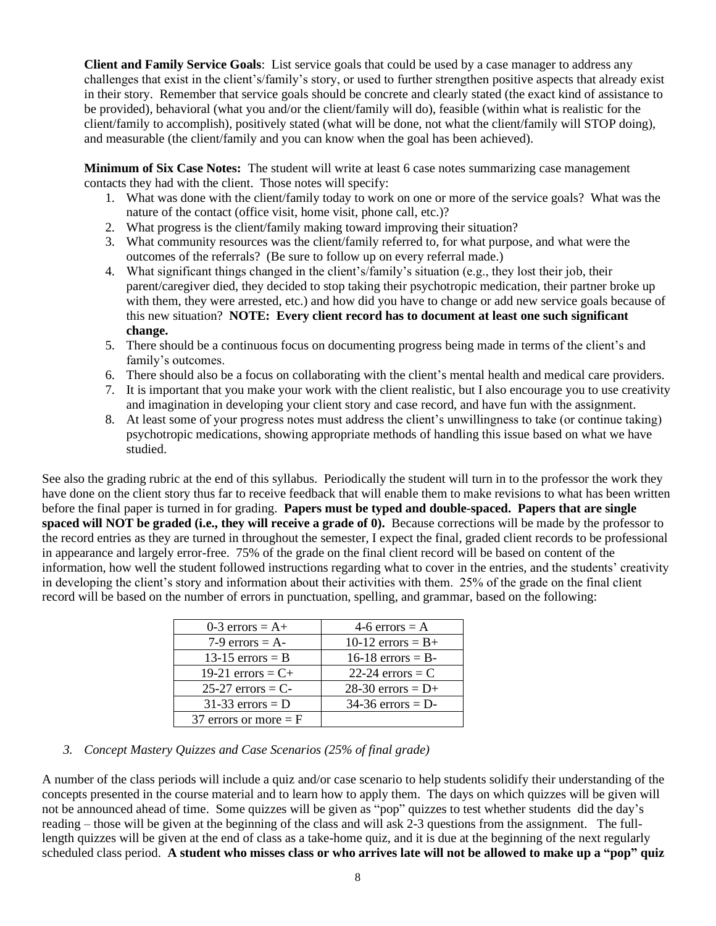**Client and Family Service Goals**: List service goals that could be used by a case manager to address any challenges that exist in the client's/family's story, or used to further strengthen positive aspects that already exist in their story. Remember that service goals should be concrete and clearly stated (the exact kind of assistance to be provided), behavioral (what you and/or the client/family will do), feasible (within what is realistic for the client/family to accomplish), positively stated (what will be done, not what the client/family will STOP doing), and measurable (the client/family and you can know when the goal has been achieved).

**Minimum of Six Case Notes:** The student will write at least 6 case notes summarizing case management contacts they had with the client. Those notes will specify:

- 1. What was done with the client/family today to work on one or more of the service goals? What was the nature of the contact (office visit, home visit, phone call, etc.)?
- 2. What progress is the client/family making toward improving their situation?
- 3. What community resources was the client/family referred to, for what purpose, and what were the outcomes of the referrals? (Be sure to follow up on every referral made.)
- 4. What significant things changed in the client's/family's situation (e.g., they lost their job, their parent/caregiver died, they decided to stop taking their psychotropic medication, their partner broke up with them, they were arrested, etc.) and how did you have to change or add new service goals because of this new situation? **NOTE: Every client record has to document at least one such significant change.**
- 5. There should be a continuous focus on documenting progress being made in terms of the client's and family's outcomes.
- 6. There should also be a focus on collaborating with the client's mental health and medical care providers.
- 7. It is important that you make your work with the client realistic, but I also encourage you to use creativity and imagination in developing your client story and case record, and have fun with the assignment.
- 8. At least some of your progress notes must address the client's unwillingness to take (or continue taking) psychotropic medications, showing appropriate methods of handling this issue based on what we have studied.

See also the grading rubric at the end of this syllabus. Periodically the student will turn in to the professor the work they have done on the client story thus far to receive feedback that will enable them to make revisions to what has been written before the final paper is turned in for grading. **Papers must be typed and double-spaced. Papers that are single spaced will NOT be graded (i.e., they will receive a grade of 0).** Because corrections will be made by the professor to the record entries as they are turned in throughout the semester, I expect the final, graded client records to be professional in appearance and largely error-free. 75% of the grade on the final client record will be based on content of the information, how well the student followed instructions regarding what to cover in the entries, and the students' creativity in developing the client's story and information about their activities with them. 25% of the grade on the final client record will be based on the number of errors in punctuation, spelling, and grammar, based on the following:

| $0-3$ errors = A+       | 4-6 errors = $A$          |
|-------------------------|---------------------------|
| 7-9 errors = $A$ -      | 10-12 errors = $B+$       |
| 13-15 errors $=$ B      | $16-18$ errors = B-       |
| 19-21 errors = $C+$     | 22-24 $\text{errors} = C$ |
| $25-27$ errors = C-     | 28-30 errors = $D+$       |
| $31-33$ errors = D      | $34-36$ errors = D-       |
| 37 errors or more $=$ F |                           |

#### *3. Concept Mastery Quizzes and Case Scenarios (25% of final grade)*

A number of the class periods will include a quiz and/or case scenario to help students solidify their understanding of the concepts presented in the course material and to learn how to apply them. The days on which quizzes will be given will not be announced ahead of time. Some quizzes will be given as "pop" quizzes to test whether students did the day's reading – those will be given at the beginning of the class and will ask 2-3 questions from the assignment. The fulllength quizzes will be given at the end of class as a take-home quiz, and it is due at the beginning of the next regularly scheduled class period. **A student who misses class or who arrives late will not be allowed to make up a "pop" quiz**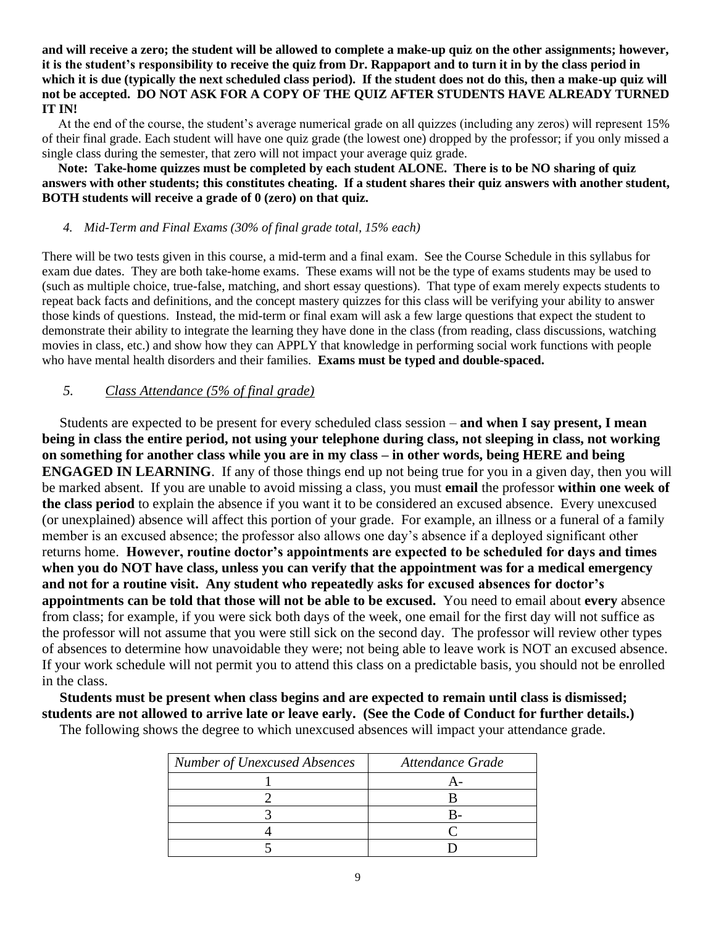**and will receive a zero; the student will be allowed to complete a make-up quiz on the other assignments; however, it is the student's responsibility to receive the quiz from Dr. Rappaport and to turn it in by the class period in which it is due (typically the next scheduled class period). If the student does not do this, then a make-up quiz will not be accepted. DO NOT ASK FOR A COPY OF THE QUIZ AFTER STUDENTS HAVE ALREADY TURNED IT IN!**

 At the end of the course, the student's average numerical grade on all quizzes (including any zeros) will represent 15% of their final grade. Each student will have one quiz grade (the lowest one) dropped by the professor; if you only missed a single class during the semester, that zero will not impact your average quiz grade.

#### **Note: Take-home quizzes must be completed by each student ALONE. There is to be NO sharing of quiz answers with other students; this constitutes cheating. If a student shares their quiz answers with another student, BOTH students will receive a grade of 0 (zero) on that quiz.**

#### *4. Mid-Term and Final Exams (30% of final grade total, 15% each)*

There will be two tests given in this course, a mid-term and a final exam. See the Course Schedule in this syllabus for exam due dates. They are both take-home exams. These exams will not be the type of exams students may be used to (such as multiple choice, true-false, matching, and short essay questions). That type of exam merely expects students to repeat back facts and definitions, and the concept mastery quizzes for this class will be verifying your ability to answer those kinds of questions. Instead, the mid-term or final exam will ask a few large questions that expect the student to demonstrate their ability to integrate the learning they have done in the class (from reading, class discussions, watching movies in class, etc.) and show how they can APPLY that knowledge in performing social work functions with people who have mental health disorders and their families. **Exams must be typed and double-spaced.**

#### *5. Class Attendance (5% of final grade)*

 Students are expected to be present for every scheduled class session – **and when I say present, I mean being in class the entire period, not using your telephone during class, not sleeping in class, not working on something for another class while you are in my class – in other words, being HERE and being ENGAGED IN LEARNING**. If any of those things end up not being true for you in a given day, then you will be marked absent. If you are unable to avoid missing a class, you must **email** the professor **within one week of the class period** to explain the absence if you want it to be considered an excused absence. Every unexcused (or unexplained) absence will affect this portion of your grade. For example, an illness or a funeral of a family member is an excused absence; the professor also allows one day's absence if a deployed significant other returns home. **However, routine doctor's appointments are expected to be scheduled for days and times when you do NOT have class, unless you can verify that the appointment was for a medical emergency and not for a routine visit. Any student who repeatedly asks for excused absences for doctor's appointments can be told that those will not be able to be excused.** You need to email about **every** absence from class; for example, if you were sick both days of the week, one email for the first day will not suffice as the professor will not assume that you were still sick on the second day. The professor will review other types of absences to determine how unavoidable they were; not being able to leave work is NOT an excused absence. If your work schedule will not permit you to attend this class on a predictable basis, you should not be enrolled in the class.

 **Students must be present when class begins and are expected to remain until class is dismissed; students are not allowed to arrive late or leave early. (See the Code of Conduct for further details.)** 

The following shows the degree to which unexcused absences will impact your attendance grade.

| <b>Number of Unexcused Absences</b> | Attendance Grade |
|-------------------------------------|------------------|
|                                     |                  |
|                                     |                  |
|                                     |                  |
|                                     |                  |
|                                     |                  |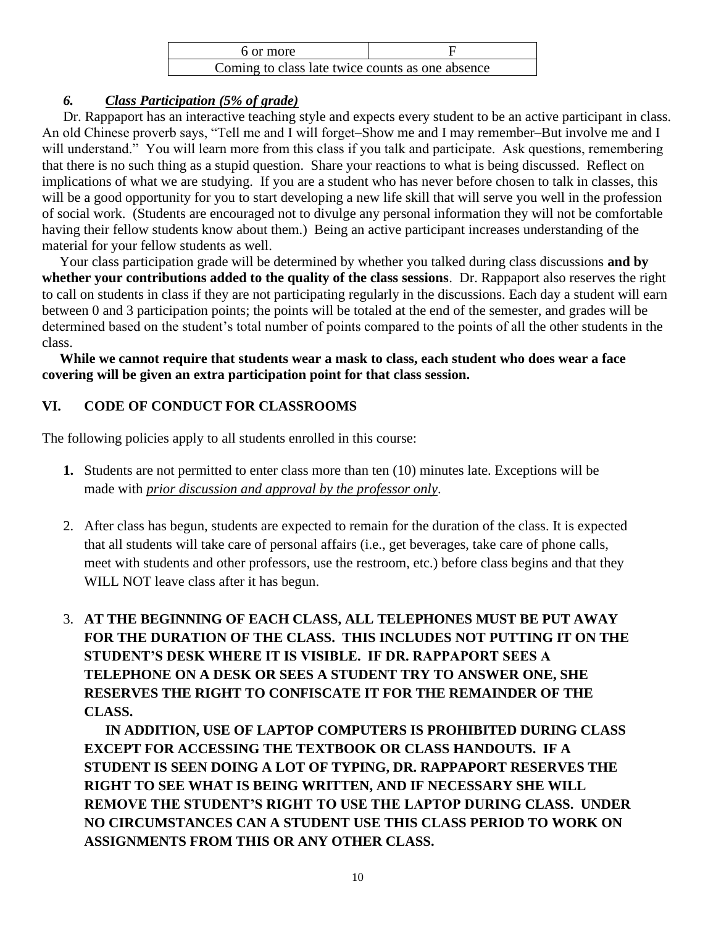| 6 or more                                        |  |
|--------------------------------------------------|--|
| Coming to class late twice counts as one absence |  |

# *6. Class Participation (5% of grade)*

Dr. Rappaport has an interactive teaching style and expects every student to be an active participant in class. An old Chinese proverb says, "Tell me and I will forget–Show me and I may remember–But involve me and I will understand." You will learn more from this class if you talk and participate. Ask questions, remembering that there is no such thing as a stupid question. Share your reactions to what is being discussed. Reflect on implications of what we are studying. If you are a student who has never before chosen to talk in classes, this will be a good opportunity for you to start developing a new life skill that will serve you well in the profession of social work. (Students are encouraged not to divulge any personal information they will not be comfortable having their fellow students know about them.) Being an active participant increases understanding of the material for your fellow students as well.

 Your class participation grade will be determined by whether you talked during class discussions **and by whether your contributions added to the quality of the class sessions**. Dr. Rappaport also reserves the right to call on students in class if they are not participating regularly in the discussions. Each day a student will earn between 0 and 3 participation points; the points will be totaled at the end of the semester, and grades will be determined based on the student's total number of points compared to the points of all the other students in the class.

 **While we cannot require that students wear a mask to class, each student who does wear a face covering will be given an extra participation point for that class session.**

# **VI. CODE OF CONDUCT FOR CLASSROOMS**

The following policies apply to all students enrolled in this course:

- **1.** Students are not permitted to enter class more than ten (10) minutes late. Exceptions will be made with *prior discussion and approval by the professor only*.
- 2. After class has begun, students are expected to remain for the duration of the class. It is expected that all students will take care of personal affairs (i.e., get beverages, take care of phone calls, meet with students and other professors, use the restroom, etc.) before class begins and that they WILL NOT leave class after it has begun.
- 3. **AT THE BEGINNING OF EACH CLASS, ALL TELEPHONES MUST BE PUT AWAY FOR THE DURATION OF THE CLASS. THIS INCLUDES NOT PUTTING IT ON THE STUDENT'S DESK WHERE IT IS VISIBLE. IF DR. RAPPAPORT SEES A TELEPHONE ON A DESK OR SEES A STUDENT TRY TO ANSWER ONE, SHE RESERVES THE RIGHT TO CONFISCATE IT FOR THE REMAINDER OF THE CLASS.**

**IN ADDITION, USE OF LAPTOP COMPUTERS IS PROHIBITED DURING CLASS EXCEPT FOR ACCESSING THE TEXTBOOK OR CLASS HANDOUTS. IF A STUDENT IS SEEN DOING A LOT OF TYPING, DR. RAPPAPORT RESERVES THE RIGHT TO SEE WHAT IS BEING WRITTEN, AND IF NECESSARY SHE WILL REMOVE THE STUDENT'S RIGHT TO USE THE LAPTOP DURING CLASS. UNDER NO CIRCUMSTANCES CAN A STUDENT USE THIS CLASS PERIOD TO WORK ON ASSIGNMENTS FROM THIS OR ANY OTHER CLASS.**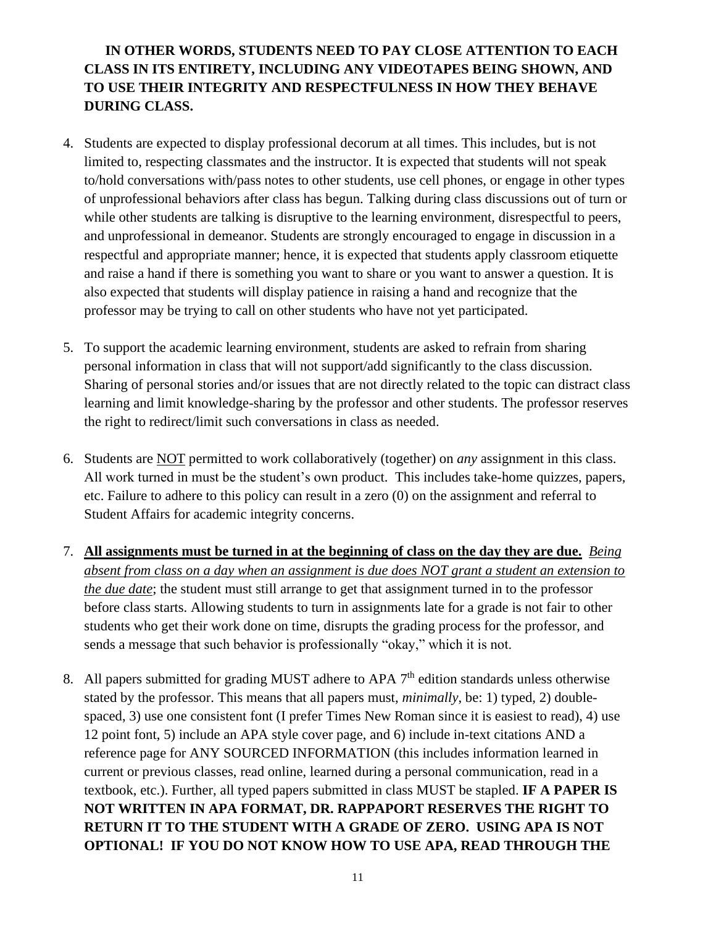# **IN OTHER WORDS, STUDENTS NEED TO PAY CLOSE ATTENTION TO EACH CLASS IN ITS ENTIRETY, INCLUDING ANY VIDEOTAPES BEING SHOWN, AND TO USE THEIR INTEGRITY AND RESPECTFULNESS IN HOW THEY BEHAVE DURING CLASS.**

- 4. Students are expected to display professional decorum at all times. This includes, but is not limited to, respecting classmates and the instructor. It is expected that students will not speak to/hold conversations with/pass notes to other students, use cell phones, or engage in other types of unprofessional behaviors after class has begun. Talking during class discussions out of turn or while other students are talking is disruptive to the learning environment, disrespectful to peers, and unprofessional in demeanor. Students are strongly encouraged to engage in discussion in a respectful and appropriate manner; hence, it is expected that students apply classroom etiquette and raise a hand if there is something you want to share or you want to answer a question. It is also expected that students will display patience in raising a hand and recognize that the professor may be trying to call on other students who have not yet participated.
- 5. To support the academic learning environment, students are asked to refrain from sharing personal information in class that will not support/add significantly to the class discussion. Sharing of personal stories and/or issues that are not directly related to the topic can distract class learning and limit knowledge-sharing by the professor and other students. The professor reserves the right to redirect/limit such conversations in class as needed.
- 6. Students are NOT permitted to work collaboratively (together) on *any* assignment in this class. All work turned in must be the student's own product. This includes take-home quizzes, papers, etc. Failure to adhere to this policy can result in a zero (0) on the assignment and referral to Student Affairs for academic integrity concerns.
- 7. **All assignments must be turned in at the beginning of class on the day they are due.** *Being absent from class on a day when an assignment is due does NOT grant a student an extension to the due date*; the student must still arrange to get that assignment turned in to the professor before class starts. Allowing students to turn in assignments late for a grade is not fair to other students who get their work done on time, disrupts the grading process for the professor, and sends a message that such behavior is professionally "okay," which it is not.
- 8. All papers submitted for grading MUST adhere to APA  $7<sup>th</sup>$  edition standards unless otherwise stated by the professor. This means that all papers must, *minimally*, be: 1) typed, 2) doublespaced, 3) use one consistent font (I prefer Times New Roman since it is easiest to read), 4) use 12 point font, 5) include an APA style cover page, and 6) include in-text citations AND a reference page for ANY SOURCED INFORMATION (this includes information learned in current or previous classes, read online, learned during a personal communication, read in a textbook, etc.). Further, all typed papers submitted in class MUST be stapled. **IF A PAPER IS NOT WRITTEN IN APA FORMAT, DR. RAPPAPORT RESERVES THE RIGHT TO RETURN IT TO THE STUDENT WITH A GRADE OF ZERO. USING APA IS NOT OPTIONAL! IF YOU DO NOT KNOW HOW TO USE APA, READ THROUGH THE**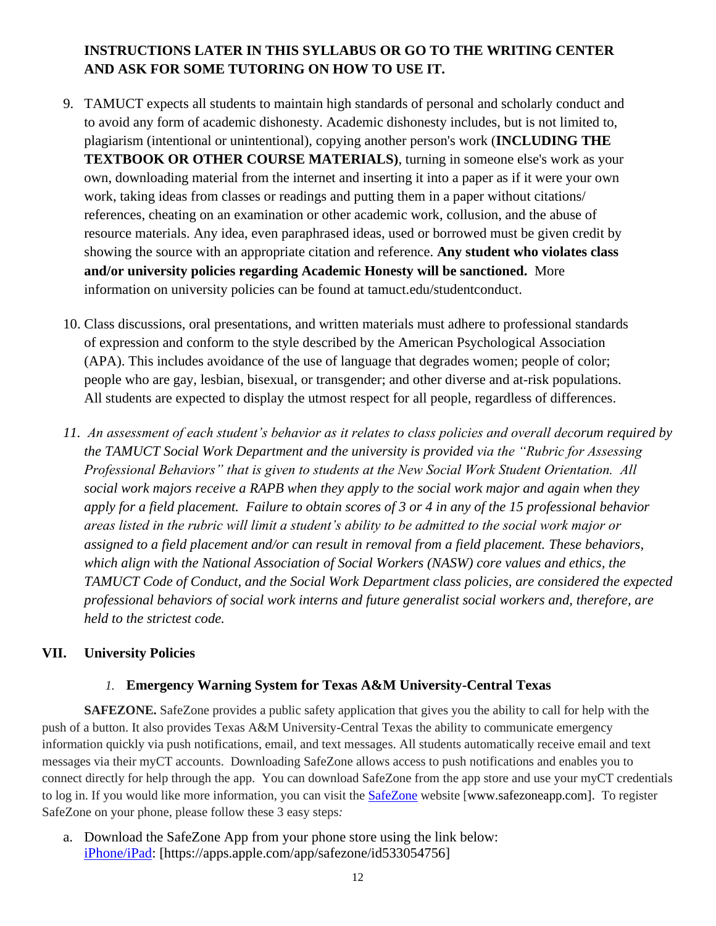# **INSTRUCTIONS LATER IN THIS SYLLABUS OR GO TO THE WRITING CENTER AND ASK FOR SOME TUTORING ON HOW TO USE IT.**

- 9. TAMUCT expects all students to maintain high standards of personal and scholarly conduct and to avoid any form of academic dishonesty. Academic dishonesty includes, but is not limited to, plagiarism (intentional or unintentional), copying another person's work (**INCLUDING THE TEXTBOOK OR OTHER COURSE MATERIALS)**, turning in someone else's work as your own, downloading material from the internet and inserting it into a paper as if it were your own work, taking ideas from classes or readings and putting them in a paper without citations/ references, cheating on an examination or other academic work, collusion, and the abuse of resource materials. Any idea, even paraphrased ideas, used or borrowed must be given credit by showing the source with an appropriate citation and reference. **Any student who violates class and/or university policies regarding Academic Honesty will be sanctioned.** More information on university policies can be found at tamuct.edu/studentconduct.
- 10. Class discussions, oral presentations, and written materials must adhere to professional standards of expression and conform to the style described by the American Psychological Association (APA). This includes avoidance of the use of language that degrades women; people of color; people who are gay, lesbian, bisexual, or transgender; and other diverse and at-risk populations. All students are expected to display the utmost respect for all people, regardless of differences.
- *11. An assessment of each student's behavior as it relates to class policies and overall decorum required by the TAMUCT Social Work Department and the university is provided via the "Rubric for Assessing Professional Behaviors" that is given to students at the New Social Work Student Orientation. All social work majors receive a RAPB when they apply to the social work major and again when they apply for a field placement. Failure to obtain scores of 3 or 4 in any of the 15 professional behavior areas listed in the rubric will limit a student's ability to be admitted to the social work major or assigned to a field placement and/or can result in removal from a field placement. These behaviors, which align with the National Association of Social Workers (NASW) core values and ethics, the TAMUCT Code of Conduct, and the Social Work Department class policies, are considered the expected professional behaviors of social work interns and future generalist social workers and, therefore, are held to the strictest code.*

### **VII. University Policies**

### *1.* **Emergency Warning System for Texas A&M University-Central Texas**

**SAFEZONE.** SafeZone provides a public safety application that gives you the ability to call for help with the push of a button. It also provides Texas A&M University-Central Texas the ability to communicate emergency information quickly via push notifications, email, and text messages. All students automatically receive email and text messages via their myCT accounts. Downloading SafeZone allows access to push notifications and enables you to connect directly for help through the app. You can download SafeZone from the app store and use your myCT credentials to log in. If you would like more information, you can visit the **[SafeZone](http://www.safezoneapp.com/)** website [www.safezoneapp.com]. To register SafeZone on your phone, please follow these 3 easy steps*:*

a. Download the SafeZone App from your phone store using the link below: [iPhone/iPad:](https://apps.apple.com/app/safezone/id533054756) [https://apps.apple.com/app/safezone/id533054756]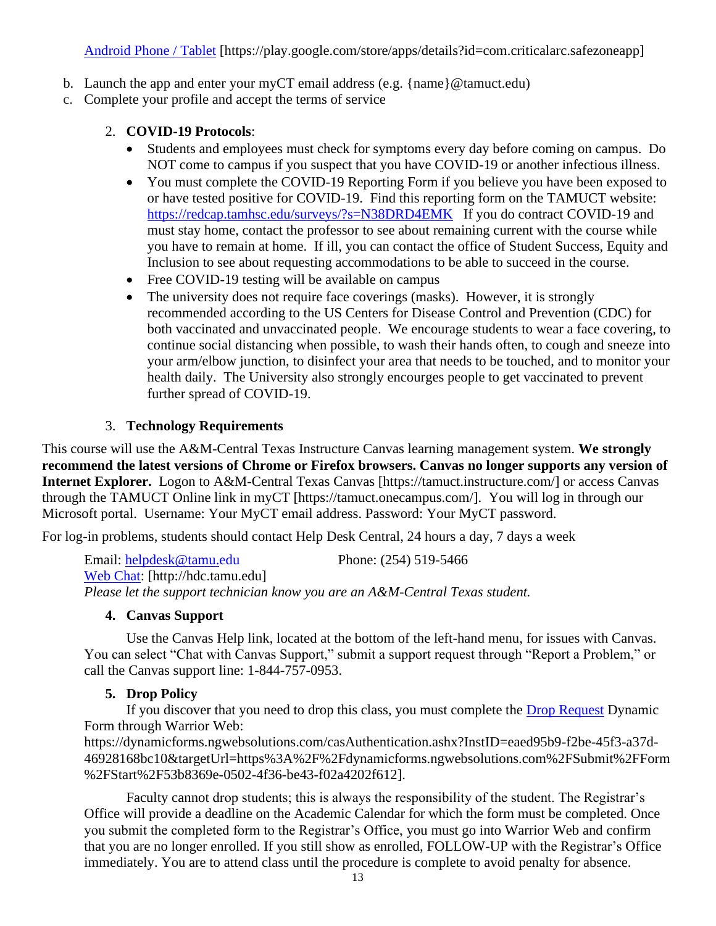Android Phone / Tablet [https://play.google.com/store/apps/details?id=com.criticalarc.safezoneapp]

- b. [Launch the app and ente](https://play.google.com/store/apps/details?id=com.criticalarc.safezoneapp)r your myCT email address (e.g. {name}  $@t$  amuct.edu)
- c. Complete your profile and accept the terms of service

#### 2. **COVID-19 Protocols**:

- Students and employees must check for symptoms every day before coming on campus. Do NOT come to campus if you suspect that you have COVID-19 or another infectious illness.
- You must complete the COVID-19 Reporting Form if you believe you have been exposed to or have tested positive for COVID-19. Find this reporting form on the TAMUCT website: <https://redcap.tamhsc.edu/surveys/?s=N38DRD4EMK>If you do contract COVID-19 and must stay home, contact the professor to see about remaining current with the course while you have to remain at home. If ill, you can contact the office of Student Success, Equity and Inclusion to see about requesting accommodations to be able to succeed in the course.
- Free COVID-19 testing will be available on campus
- The university does not require face coverings (masks). However, it is strongly recommended according to the US Centers for Disease Control and Prevention (CDC) for both vaccinated and unvaccinated people. We encourage students to wear a face covering, to continue social distancing when possible, to wash their hands often, to cough and sneeze into your arm/elbow junction, to disinfect your area that needs to be touched, and to monitor your health daily. The University also strongly encourges people to get vaccinated to prevent further spread of COVID-19.

#### 3. **Technology Requirements**

This course will use the A&M-Central Texas Instructure Canvas learning management system. **We strongly recommend the latest versions of Chrome or Firefox browsers. Canvas no longer supports any version of Internet Explorer.** Logon to A&M-Central Texas Canvas [https://tamuct.instructure.com/] or access Canvas through the TAMUCT Online link in myCT [https://tamuct.onecampus.com/]. You will log in through our Microsoft portal. Username: Your MyCT email address. Password: Your MyCT password.

For log-in problems, students should contact Help Desk Central, 24 hours a day, 7 days a week

Email: [helpdesk@tamu.edu](mailto:helpdesk@tamu.edu) Phone: (254) 519-5466 [Web Chat:](http://hdc.tamu.edu/) [http://hdc.tamu.edu] *Please let the support technician know you are an A&M-Central Texas student.*

#### **4. Canvas Support**

Use the Canvas Help link, located at the bottom of the left-hand menu, for issues with Canvas. You can select "Chat with Canvas Support," submit a support request through "Report a Problem," or call the Canvas support line: 1-844-757-0953.

#### **5. Drop Policy**

If you discover that you need to drop this class, you must complete the [Drop Request](https://dynamicforms.ngwebsolutions.com/casAuthentication.ashx?InstID=eaed95b9-f2be-45f3-a37d-46928168bc10&targetUrl=https%3A%2F%2Fdynamicforms.ngwebsolutions.com%2FSubmit%2FForm%2FStart%2F53b8369e-0502-4f36-be43-f02a4202f612) Dynamic Form through Warrior Web:

https://dynamicforms.ngwebsolutions.com/casAuthentication.ashx?InstID=eaed95b9-f2be-45f3-a37d-46928168bc10&targetUrl=https%3A%2F%2Fdynamicforms.ngwebsolutions.com%2FSubmit%2FForm %2FStart%2F53b8369e-0502-4f36-be43-f02a4202f612].

Faculty cannot drop students; this is always the responsibility of the student. The Registrar's Office will provide a deadline on the Academic Calendar for which the form must be completed. Once you submit the completed form to the Registrar's Office, you must go into Warrior Web and confirm that you are no longer enrolled. If you still show as enrolled, FOLLOW-UP with the Registrar's Office immediately. You are to attend class until the procedure is complete to avoid penalty for absence.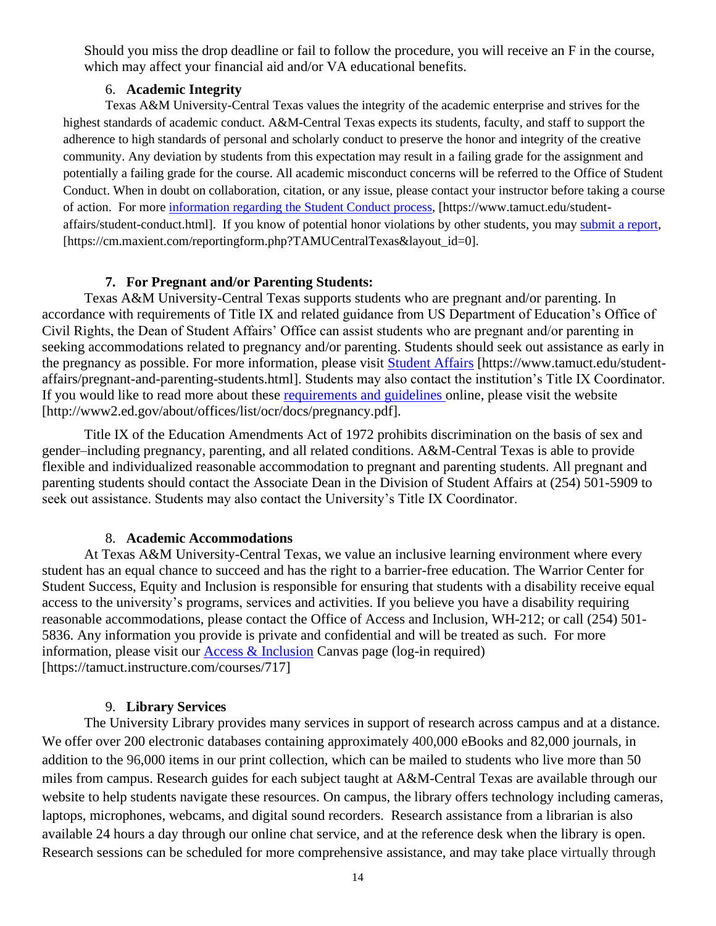Should you miss the drop deadline or fail to follow the procedure, you will receive an F in the course, which may affect your financial aid and/or VA educational benefits.

#### 6. **Academic Integrity**

Texas A&M University-Central Texas values the integrity of the academic enterprise and strives for the highest standards of academic conduct. A&M-Central Texas expects its students, faculty, and staff to support the adherence to high standards of personal and scholarly conduct to preserve the honor and integrity of the creative community. Any deviation by students from this expectation may result in a failing grade for the assignment and potentially a failing grade for the course. All academic misconduct concerns will be referred to the Office of Student Conduct. When in doubt on collaboration, citation, or any issue, please contact your instructor before taking a course of action. For more [information](https://nam04.safelinks.protection.outlook.com/?url=https%3A%2F%2Fwww.tamuct.edu%2Fstudent-affairs%2Fstudent-conduct.html&data=04%7C01%7Clisa.bunkowski%40tamuct.edu%7Ccfb6e486f24745f53e1a08d910055cb2%7C9eed4e3000f744849ff193ad8005acec%7C0%7C0%7C637558437485252160%7CUnknown%7CTWFpbGZsb3d8eyJWIjoiMC4wLjAwMDAiLCJQIjoiV2luMzIiLCJBTiI6Ik1haWwiLCJXVCI6Mn0%3D%7C1000&sdata=yjftDEVHvLX%2FhM%2FcFU0B99krV1RgEWR%2BJ%2BhvtoR6TYk%3D&reserved=0) regarding the Student Conduct process, [https://www.tamuct.edu/studentaffairs/student-conduct.html]. If you know of potential honor violations by other students, you may [submit](https://nam04.safelinks.protection.outlook.com/?url=https%3A%2F%2Fcm.maxient.com%2Freportingform.php%3FTAMUCentralTexas%26layout_id%3D0&data=04%7C01%7Clisa.bunkowski%40tamuct.edu%7Ccfb6e486f24745f53e1a08d910055cb2%7C9eed4e3000f744849ff193ad8005acec%7C0%7C0%7C637558437485262157%7CUnknown%7CTWFpbGZsb3d8eyJWIjoiMC4wLjAwMDAiLCJQIjoiV2luMzIiLCJBTiI6Ik1haWwiLCJXVCI6Mn0%3D%7C1000&sdata=CXGkOa6uPDPX1IMZ87z3aZDq2n91xfHKu4MMS43Ejjk%3D&reserved=0) a report, [https://cm.maxient.com/reportingform.php?TAMUCentralTexas&layout\_id=0].

#### **7. For Pregnant and/or Parenting Students:**

Texas A&M University-Central Texas supports students who are pregnant and/or parenting. In accordance with requirements of Title IX and related guidance from US Department of Education's Office of Civil Rights, the Dean of Student Affairs' Office can assist students who are pregnant and/or parenting in seeking accommodations related to pregnancy and/or parenting. Students should seek out assistance as early in the pregnancy as possible. For more information, please visit [Student Affairs](https://www.tamuct.edu/student-affairs/pregnant-and-parenting-students.html) [https://www.tamuct.edu/studentaffairs/pregnant-and-parenting-students.html]. Students may also contact the institution's Title IX Coordinator. If you would like to read more about these [requirements and guidelines](http://www2.ed.gov/about/offices/list/ocr/docs/pregnancy.pdf) online, please visit the website [http://www2.ed.gov/about/offices/list/ocr/docs/pregnancy.pdf].

Title IX of the Education Amendments Act of 1972 prohibits discrimination on the basis of sex and gender–including pregnancy, parenting, and all related conditions. A&M-Central Texas is able to provide flexible and individualized reasonable accommodation to pregnant and parenting students. All pregnant and parenting students should contact the Associate Dean in the Division of Student Affairs at (254) 501-5909 to seek out assistance. Students may also contact the University's Title IX Coordinator.

#### 8. **Academic Accommodations**

At Texas A&M University-Central Texas, we value an inclusive learning environment where every student has an equal chance to succeed and has the right to a barrier-free education. The Warrior Center for Student Success, Equity and Inclusion is responsible for ensuring that students with a disability receive equal access to the university's programs, services and activities. If you believe you have a disability requiring reasonable accommodations, please contact the Office of Access and Inclusion, WH-212; or call (254) 501- 5836. Any information you provide is private and confidential and will be treated as such. For more information, please visit our [Access & Inclusion](https://tamuct.instructure.com/courses/717) Canvas page (log-in required) [https://tamuct.instructure.com/courses/717]

#### 9. **Library Services**

The University Library provides many services in support of research across campus and at a distance. We offer over 200 electronic databases containing approximately 400,000 eBooks and 82,000 journals, in addition to the 96,000 items in our print collection, which can be mailed to students who live more than 50 miles from campus. Research guides for each subject taught at A&M-Central Texas are available through our website to help students navigate these resources. On campus, the library offers technology including cameras, laptops, microphones, webcams, and digital sound recorders. Research assistance from a librarian is also available 24 hours a day through our online chat service, and at the reference desk when the library is open. Research sessions can be scheduled for more comprehensive assistance, and may take place virtually through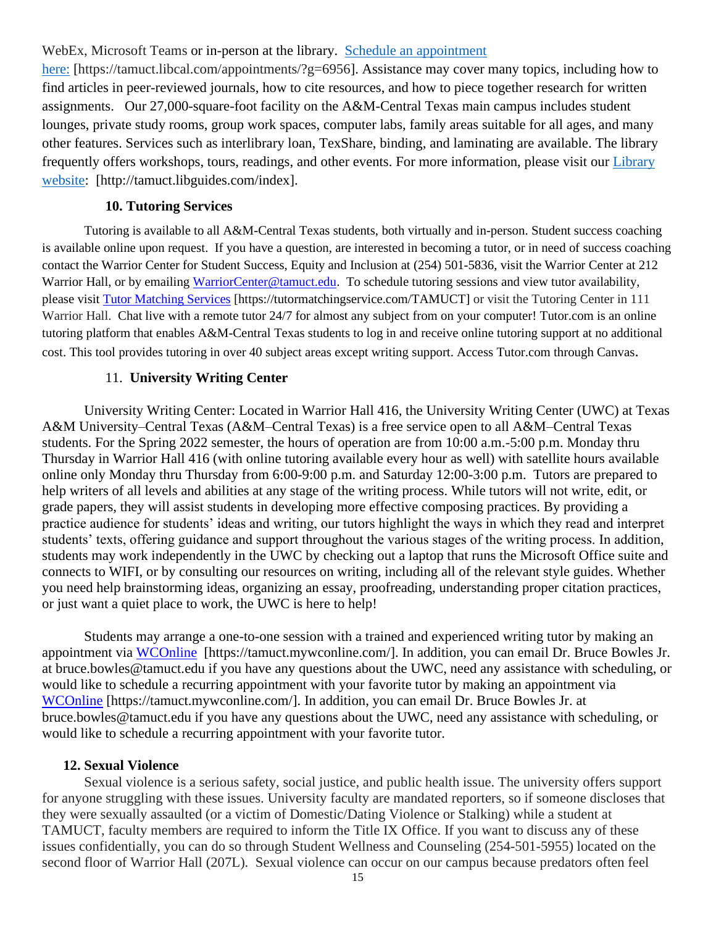#### WebEx, Microsoft Teams or in-person at the library. Schedule an [appointment](https://nam04.safelinks.protection.outlook.com/?url=https%3A%2F%2Ftamuct.libcal.com%2Fappointments%2F%3Fg%3D6956&data=04%7C01%7Clisa.bunkowski%40tamuct.edu%7Cde2c07d9f5804f09518008d9ab7ba6ff%7C9eed4e3000f744849ff193ad8005acec%7C0%7C0%7C637729369835011558%7CUnknown%7CTWFpbGZsb3d8eyJWIjoiMC4wLjAwMDAiLCJQIjoiV2luMzIiLCJBTiI6Ik1haWwiLCJXVCI6Mn0%3D%7C3000&sdata=KhtjgRSAw9aq%2FoBsB6wyu8b7PSuGN5EGPypzr3Ty2No%3D&reserved=0)

[here:](https://nam04.safelinks.protection.outlook.com/?url=https%3A%2F%2Ftamuct.libcal.com%2Fappointments%2F%3Fg%3D6956&data=04%7C01%7Clisa.bunkowski%40tamuct.edu%7Cde2c07d9f5804f09518008d9ab7ba6ff%7C9eed4e3000f744849ff193ad8005acec%7C0%7C0%7C637729369835011558%7CUnknown%7CTWFpbGZsb3d8eyJWIjoiMC4wLjAwMDAiLCJQIjoiV2luMzIiLCJBTiI6Ik1haWwiLCJXVCI6Mn0%3D%7C3000&sdata=KhtjgRSAw9aq%2FoBsB6wyu8b7PSuGN5EGPypzr3Ty2No%3D&reserved=0) [https://tamuct.libcal.com/appointments/?g=6956]. Assistance may cover many topics, including how to find articles in peer-reviewed journals, how to cite resources, and how to piece together research for written assignments. Our 27,000-square-foot facility on the A&M-Central Texas main campus includes student lounges, private study rooms, group work spaces, computer labs, family areas suitable for all ages, and many other features. Services such as interlibrary loan, TexShare, binding, and laminating are available. The library frequently offers workshops, tours, readings, and other events. For more information, please visit our [Library](https://nam04.safelinks.protection.outlook.com/?url=https%3A%2F%2Ftamuct.libguides.com%2Findex&data=04%7C01%7Clisa.bunkowski%40tamuct.edu%7C7d8489e8839a4915335f08d916f067f2%7C9eed4e3000f744849ff193ad8005acec%7C0%7C0%7C637566044056484222%7CUnknown%7CTWFpbGZsb3d8eyJWIjoiMC4wLjAwMDAiLCJQIjoiV2luMzIiLCJBTiI6Ik1haWwiLCJXVCI6Mn0%3D%7C1000&sdata=2R755V6rcIyedGrd4Os5rkgn1PvhHKU3kUV1vBKiHFo%3D&reserved=0) [website:](https://nam04.safelinks.protection.outlook.com/?url=https%3A%2F%2Ftamuct.libguides.com%2Findex&data=04%7C01%7Clisa.bunkowski%40tamuct.edu%7C7d8489e8839a4915335f08d916f067f2%7C9eed4e3000f744849ff193ad8005acec%7C0%7C0%7C637566044056484222%7CUnknown%7CTWFpbGZsb3d8eyJWIjoiMC4wLjAwMDAiLCJQIjoiV2luMzIiLCJBTiI6Ik1haWwiLCJXVCI6Mn0%3D%7C1000&sdata=2R755V6rcIyedGrd4Os5rkgn1PvhHKU3kUV1vBKiHFo%3D&reserved=0) [http://tamuct.libguides.com/index].

#### **10. Tutoring Services**

Tutoring is available to all A&M-Central Texas students, both virtually and in-person. Student success coaching is available online upon request. If you have a question, are interested in becoming a tutor, or in need of success coaching contact the Warrior Center for Student Success, Equity and Inclusion at (254) 501-5836, visit the Warrior Center at 212 Warrior Hall, or by emailing [WarriorCenter@tamuct.edu.](mailto:WarriorCenter@tamuct.edu) To schedule tutoring sessions and view tutor availability, please visit Tutor [Matching](https://tutormatchingservice.com/TAMUCT) Services [https://tutormatchingservice.com/TAMUCT] or visit the Tutoring Center in 111 Warrior Hall. Chat live with a remote tutor 24/7 for almost any subject from on your computer! Tutor.com is an online tutoring platform that enables A&M-Central Texas students to log in and receive online tutoring support at no additional cost. This tool provides tutoring in over 40 subject areas except writing support. Access Tutor.com through Canvas.

#### 11. **University Writing Center**

University Writing Center: Located in Warrior Hall 416, the University Writing Center (UWC) at Texas A&M University–Central Texas (A&M–Central Texas) is a free service open to all A&M–Central Texas students. For the Spring 2022 semester, the hours of operation are from 10:00 a.m.-5:00 p.m. Monday thru Thursday in Warrior Hall 416 (with online tutoring available every hour as well) with satellite hours available online only Monday thru Thursday from 6:00-9:00 p.m. and Saturday 12:00-3:00 p.m. Tutors are prepared to help writers of all levels and abilities at any stage of the writing process. While tutors will not write, edit, or grade papers, they will assist students in developing more effective composing practices. By providing a practice audience for students' ideas and writing, our tutors highlight the ways in which they read and interpret students' texts, offering guidance and support throughout the various stages of the writing process. In addition, students may work independently in the UWC by checking out a laptop that runs the Microsoft Office suite and connects to WIFI, or by consulting our resources on writing, including all of the relevant style guides. Whether you need help brainstorming ideas, organizing an essay, proofreading, understanding proper citation practices, or just want a quiet place to work, the UWC is here to help!

Students may arrange a one-to-one session with a trained and experienced writing tutor by making an appointment via [WCOnline](https://tamuct.mywconline.com/) [https://tamuct.mywconline.com/]. In addition, you can email Dr. Bruce Bowles Jr. at bruce.bowles@tamuct.edu if you have any questions about the UWC, need any assistance with scheduling, or would like to schedule a recurring appointment with your favorite tutor by making an appointment via [WCOnline](https://tamuct.mywconline.com/) [https://tamuct.mywconline.com/]. In addition, you can email Dr. Bruce Bowles Jr. at bruce.bowles@tamuct.edu if you have any questions about the UWC, need any assistance with scheduling, or would like to schedule a recurring appointment with your favorite tutor.

#### **12. Sexual Violence**

Sexual violence is a serious safety, social justice, and public health issue. The university offers support for anyone struggling with these issues. University faculty are mandated reporters, so if someone discloses that they were sexually assaulted (or a victim of Domestic/Dating Violence or Stalking) while a student at TAMUCT, faculty members are required to inform the Title IX Office. If you want to discuss any of these issues confidentially, you can do so through Student Wellness and Counseling (254-501-5955) located on the second floor of Warrior Hall (207L). Sexual violence can occur on our campus because predators often feel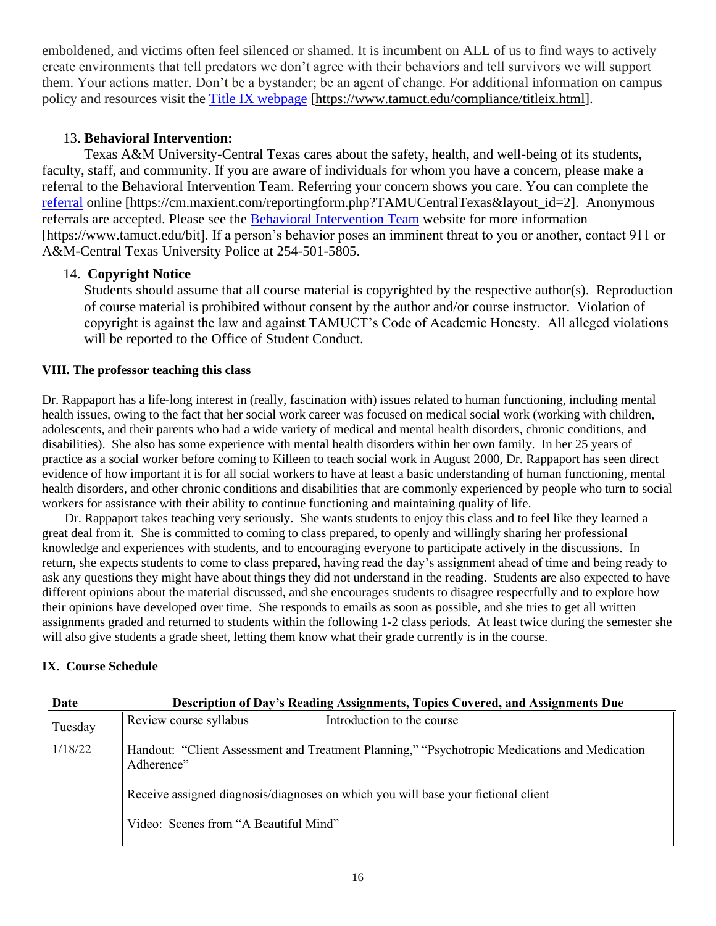emboldened, and victims often feel silenced or shamed. It is incumbent on ALL of us to find ways to actively create environments that tell predators we don't agree with their behaviors and tell survivors we will support them. Your actions matter. Don't be a bystander; be an agent of change. For additional information on campus policy and resources visit the [Title IX webpage](https://www.tamuct.edu/compliance/titleix.html) [\[https://www.tamuct.edu/compliance/titleix.html\]](https://www.tamuct.edu/compliance/titleix.html).

### 13. **Behavioral Intervention:**

Texas A&M University-Central Texas cares about the safety, health, and well-being of its students, faculty, staff, and community. If you are aware of individuals for whom you have a concern, please make a referral to the Behavioral Intervention Team. Referring your concern shows you care. You can complete the [referral](https://cm.maxient.com/reportingform.php?TAMUCentralTexas&layout_id=2) online [https://cm.maxient.com/reportingform.php?TAMUCentralTexas&layout\_id=2]. Anonymous referrals are accepted. Please see the [Behavioral Intervention Team](https://www.tamuct.edu/bit) website for more information [https://www.tamuct.edu/bit]. If a person's behavior poses an imminent threat to you or another, contact 911 or A&M-Central Texas University Police at 254-501-5805.

### 14. **Copyright Notice**

Students should assume that all course material is copyrighted by the respective author(s). Reproduction of course material is prohibited without consent by the author and/or course instructor. Violation of copyright is against the law and against TAMUCT's Code of Academic Honesty. All alleged violations will be reported to the Office of Student Conduct.

#### **VIII. The professor teaching this class**

Dr. Rappaport has a life-long interest in (really, fascination with) issues related to human functioning, including mental health issues, owing to the fact that her social work career was focused on medical social work (working with children, adolescents, and their parents who had a wide variety of medical and mental health disorders, chronic conditions, and disabilities). She also has some experience with mental health disorders within her own family. In her 25 years of practice as a social worker before coming to Killeen to teach social work in August 2000, Dr. Rappaport has seen direct evidence of how important it is for all social workers to have at least a basic understanding of human functioning, mental health disorders, and other chronic conditions and disabilities that are commonly experienced by people who turn to social workers for assistance with their ability to continue functioning and maintaining quality of life.

 Dr. Rappaport takes teaching very seriously. She wants students to enjoy this class and to feel like they learned a great deal from it. She is committed to coming to class prepared, to openly and willingly sharing her professional knowledge and experiences with students, and to encouraging everyone to participate actively in the discussions. In return, she expects students to come to class prepared, having read the day's assignment ahead of time and being ready to ask any questions they might have about things they did not understand in the reading. Students are also expected to have different opinions about the material discussed, and she encourages students to disagree respectfully and to explore how their opinions have developed over time. She responds to emails as soon as possible, and she tries to get all written assignments graded and returned to students within the following 1-2 class periods. At least twice during the semester she will also give students a grade sheet, letting them know what their grade currently is in the course.

### **IX. Course Schedule**

| Date    | Description of Day's Reading Assignments, Topics Covered, and Assignments Due                               |
|---------|-------------------------------------------------------------------------------------------------------------|
| Tuesday | Review course syllabus<br>Introduction to the course                                                        |
| 1/18/22 | Handout: "Client Assessment and Treatment Planning," "Psychotropic Medications and Medication<br>Adherence" |
|         | Receive assigned diagnosis/diagnoses on which you will base your fictional client                           |
|         | Video: Scenes from "A Beautiful Mind"                                                                       |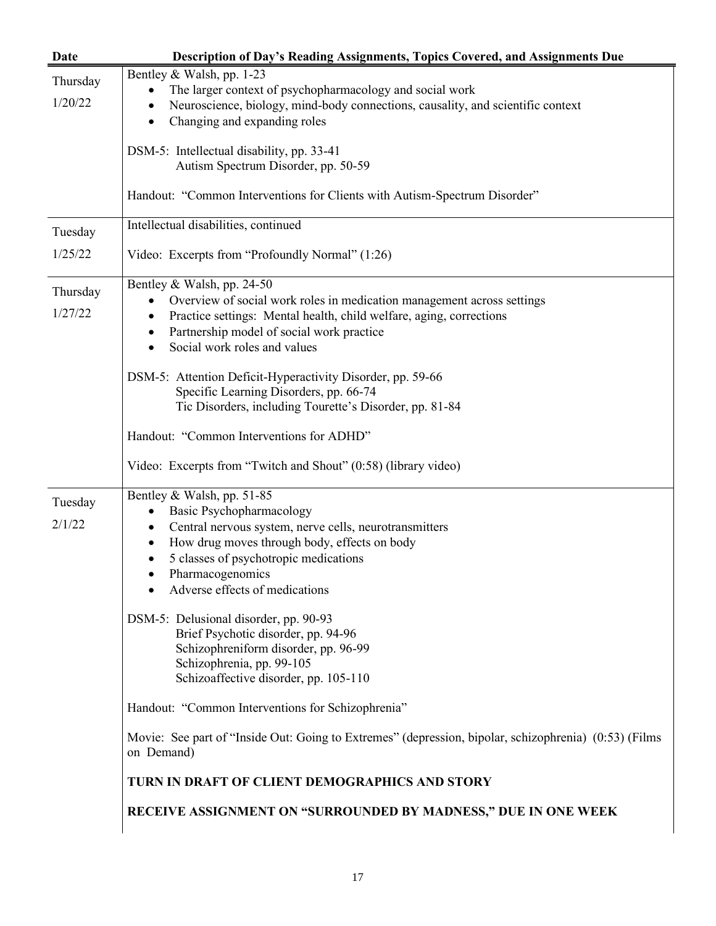|          | Description of Day's Reading Assignments, Topics Covered, and Assignments Due                                       |
|----------|---------------------------------------------------------------------------------------------------------------------|
| Thursday | Bentley & Walsh, pp. 1-23                                                                                           |
|          | The larger context of psychopharmacology and social work<br>$\bullet$                                               |
| 1/20/22  | Neuroscience, biology, mind-body connections, causality, and scientific context                                     |
|          | Changing and expanding roles                                                                                        |
|          | DSM-5: Intellectual disability, pp. 33-41                                                                           |
|          | Autism Spectrum Disorder, pp. 50-59                                                                                 |
|          | Handout: "Common Interventions for Clients with Autism-Spectrum Disorder"                                           |
| Tuesday  | Intellectual disabilities, continued                                                                                |
| 1/25/22  | Video: Excerpts from "Profoundly Normal" (1:26)                                                                     |
| Thursday | Bentley & Walsh, pp. 24-50                                                                                          |
|          | Overview of social work roles in medication management across settings<br>$\bullet$                                 |
| 1/27/22  | Practice settings: Mental health, child welfare, aging, corrections                                                 |
|          | Partnership model of social work practice                                                                           |
|          | Social work roles and values                                                                                        |
|          | DSM-5: Attention Deficit-Hyperactivity Disorder, pp. 59-66                                                          |
|          | Specific Learning Disorders, pp. 66-74                                                                              |
|          | Tic Disorders, including Tourette's Disorder, pp. 81-84                                                             |
|          | Handout: "Common Interventions for ADHD"                                                                            |
|          | Video: Excerpts from "Twitch and Shout" (0:58) (library video)                                                      |
| Tuesday  | Bentley & Walsh, pp. 51-85                                                                                          |
|          | Basic Psychopharmacology<br>$\bullet$                                                                               |
| 2/1/22   | Central nervous system, nerve cells, neurotransmitters                                                              |
|          | How drug moves through body, effects on body<br>$\bullet$                                                           |
|          | 5 classes of psychotropic medications                                                                               |
|          | Pharmacogenomics                                                                                                    |
|          | Adverse effects of medications                                                                                      |
|          | DSM-5: Delusional disorder, pp. 90-93                                                                               |
|          | Brief Psychotic disorder, pp. 94-96                                                                                 |
|          | Schizophreniform disorder, pp. 96-99                                                                                |
|          | Schizophrenia, pp. 99-105                                                                                           |
|          | Schizoaffective disorder, pp. 105-110                                                                               |
|          | Handout: "Common Interventions for Schizophrenia"                                                                   |
|          | Movie: See part of "Inside Out: Going to Extremes" (depression, bipolar, schizophrenia) (0:53) (Films<br>on Demand) |
|          | TURN IN DRAFT OF CLIENT DEMOGRAPHICS AND STORY                                                                      |
|          | RECEIVE ASSIGNMENT ON "SURROUNDED BY MADNESS," DUE IN ONE WEEK                                                      |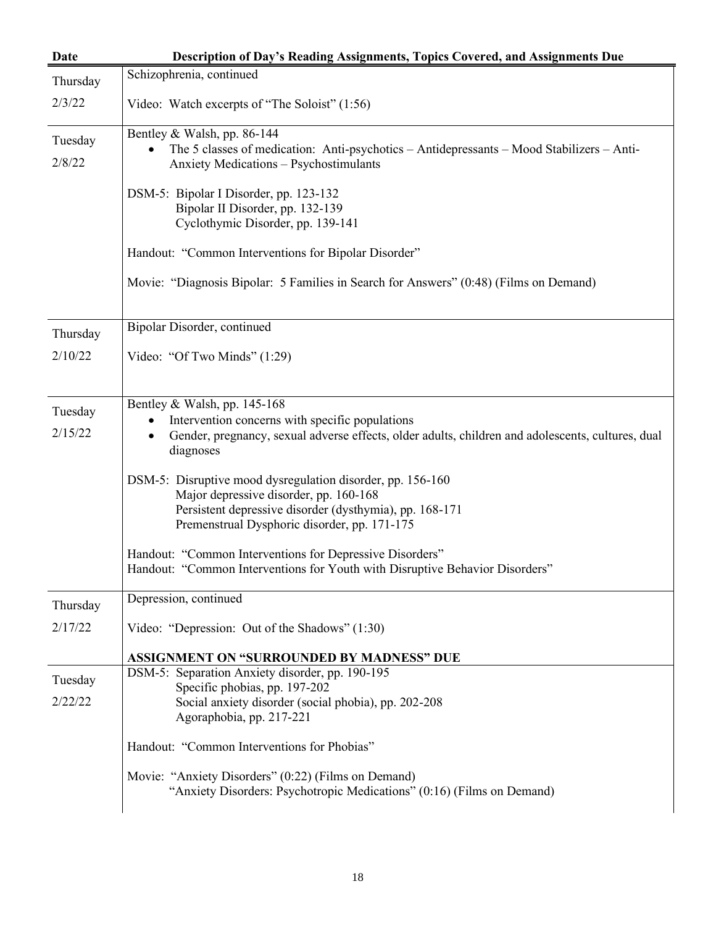| Date               | Description of Day's Reading Assignments, Topics Covered, and Assignments Due                                                                                                                                   |
|--------------------|-----------------------------------------------------------------------------------------------------------------------------------------------------------------------------------------------------------------|
| Thursday           | Schizophrenia, continued                                                                                                                                                                                        |
| 2/3/22             | Video: Watch excerpts of "The Soloist" (1:56)                                                                                                                                                                   |
| Tuesday<br>2/8/22  | Bentley & Walsh, pp. 86-144<br>The 5 classes of medication: Anti-psychotics – Antidepressants – Mood Stabilizers – Anti-<br>Anxiety Medications - Psychostimulants                                              |
|                    | DSM-5: Bipolar I Disorder, pp. 123-132<br>Bipolar II Disorder, pp. 132-139<br>Cyclothymic Disorder, pp. 139-141                                                                                                 |
|                    | Handout: "Common Interventions for Bipolar Disorder"                                                                                                                                                            |
|                    | Movie: "Diagnosis Bipolar: 5 Families in Search for Answers" (0:48) (Films on Demand)                                                                                                                           |
| Thursday           | Bipolar Disorder, continued                                                                                                                                                                                     |
| 2/10/22            | Video: "Of Two Minds" (1:29)                                                                                                                                                                                    |
| Tuesday<br>2/15/22 | Bentley & Walsh, pp. 145-168<br>Intervention concerns with specific populations<br>Gender, pregnancy, sexual adverse effects, older adults, children and adolescents, cultures, dual<br>٠<br>diagnoses          |
|                    | DSM-5: Disruptive mood dysregulation disorder, pp. 156-160<br>Major depressive disorder, pp. 160-168<br>Persistent depressive disorder (dysthymia), pp. 168-171<br>Premenstrual Dysphoric disorder, pp. 171-175 |
|                    | Handout: "Common Interventions for Depressive Disorders"<br>Handout: "Common Interventions for Youth with Disruptive Behavior Disorders"                                                                        |
| Thursday           | Depression, continued                                                                                                                                                                                           |
| 2/17/22            | Video: "Depression: Out of the Shadows" (1:30)                                                                                                                                                                  |
|                    | <b>ASSIGNMENT ON "SURROUNDED BY MADNESS" DUE</b>                                                                                                                                                                |
| Tuesday<br>2/22/22 | DSM-5: Separation Anxiety disorder, pp. 190-195<br>Specific phobias, pp. 197-202<br>Social anxiety disorder (social phobia), pp. 202-208<br>Agoraphobia, pp. 217-221                                            |
|                    | Handout: "Common Interventions for Phobias"                                                                                                                                                                     |
|                    | Movie: "Anxiety Disorders" (0:22) (Films on Demand)<br>"Anxiety Disorders: Psychotropic Medications" (0:16) (Films on Demand)                                                                                   |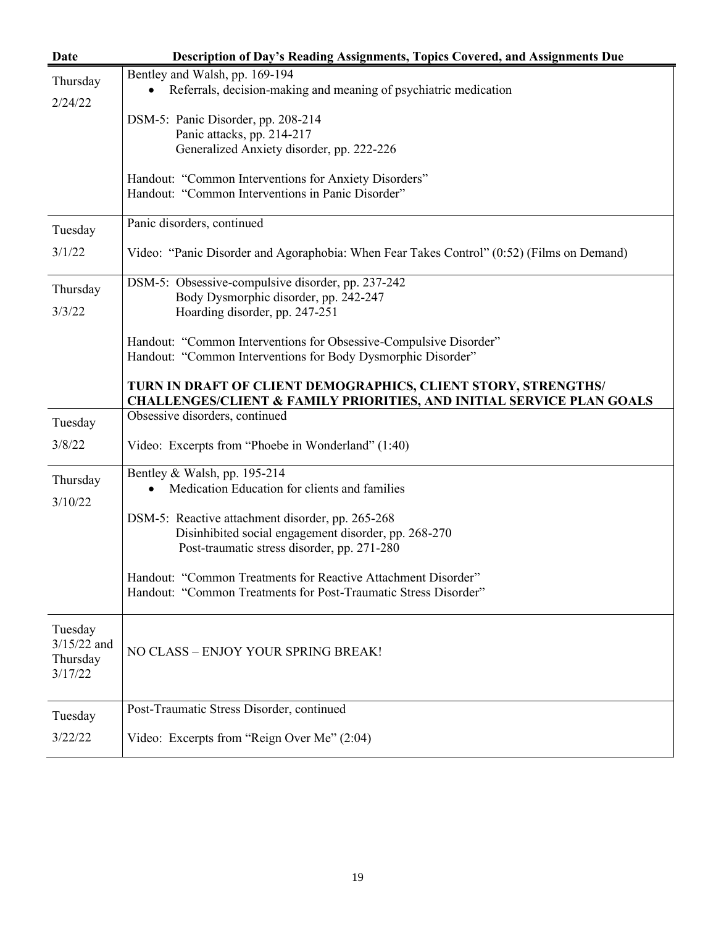| Date                                            | Description of Day's Reading Assignments, Topics Covered, and Assignments Due                                                                      |
|-------------------------------------------------|----------------------------------------------------------------------------------------------------------------------------------------------------|
| Thursday                                        | Bentley and Walsh, pp. 169-194                                                                                                                     |
| 2/24/22                                         | • Referrals, decision-making and meaning of psychiatric medication                                                                                 |
|                                                 | DSM-5: Panic Disorder, pp. 208-214                                                                                                                 |
|                                                 | Panic attacks, pp. 214-217                                                                                                                         |
|                                                 | Generalized Anxiety disorder, pp. 222-226                                                                                                          |
|                                                 | Handout: "Common Interventions for Anxiety Disorders"<br>Handout: "Common Interventions in Panic Disorder"                                         |
| Tuesday                                         | Panic disorders, continued                                                                                                                         |
| 3/1/22                                          | Video: "Panic Disorder and Agoraphobia: When Fear Takes Control" (0:52) (Films on Demand)                                                          |
|                                                 | DSM-5: Obsessive-compulsive disorder, pp. 237-242                                                                                                  |
| Thursday                                        | Body Dysmorphic disorder, pp. 242-247                                                                                                              |
| 3/3/22                                          | Hoarding disorder, pp. 247-251                                                                                                                     |
|                                                 | Handout: "Common Interventions for Obsessive-Compulsive Disorder"                                                                                  |
|                                                 | Handout: "Common Interventions for Body Dysmorphic Disorder"                                                                                       |
|                                                 | TURN IN DRAFT OF CLIENT DEMOGRAPHICS, CLIENT STORY, STRENGTHS/<br><b>CHALLENGES/CLIENT &amp; FAMILY PRIORITIES, AND INITIAL SERVICE PLAN GOALS</b> |
| Tuesday                                         | Obsessive disorders, continued                                                                                                                     |
| 3/8/22                                          | Video: Excerpts from "Phoebe in Wonderland" (1:40)                                                                                                 |
| Thursday                                        | Bentley & Walsh, pp. 195-214                                                                                                                       |
| 3/10/22                                         | Medication Education for clients and families                                                                                                      |
|                                                 | DSM-5: Reactive attachment disorder, pp. 265-268                                                                                                   |
|                                                 | Disinhibited social engagement disorder, pp. 268-270                                                                                               |
|                                                 | Post-traumatic stress disorder, pp. 271-280                                                                                                        |
|                                                 | Handout: "Common Treatments for Reactive Attachment Disorder"<br>Handout: "Common Treatments for Post-Traumatic Stress Disorder"                   |
| Tuesday<br>$3/15/22$ and<br>Thursday<br>3/17/22 | NO CLASS - ENJOY YOUR SPRING BREAK!                                                                                                                |
| Tuesday                                         | Post-Traumatic Stress Disorder, continued                                                                                                          |
| 3/22/22                                         | Video: Excerpts from "Reign Over Me" (2:04)                                                                                                        |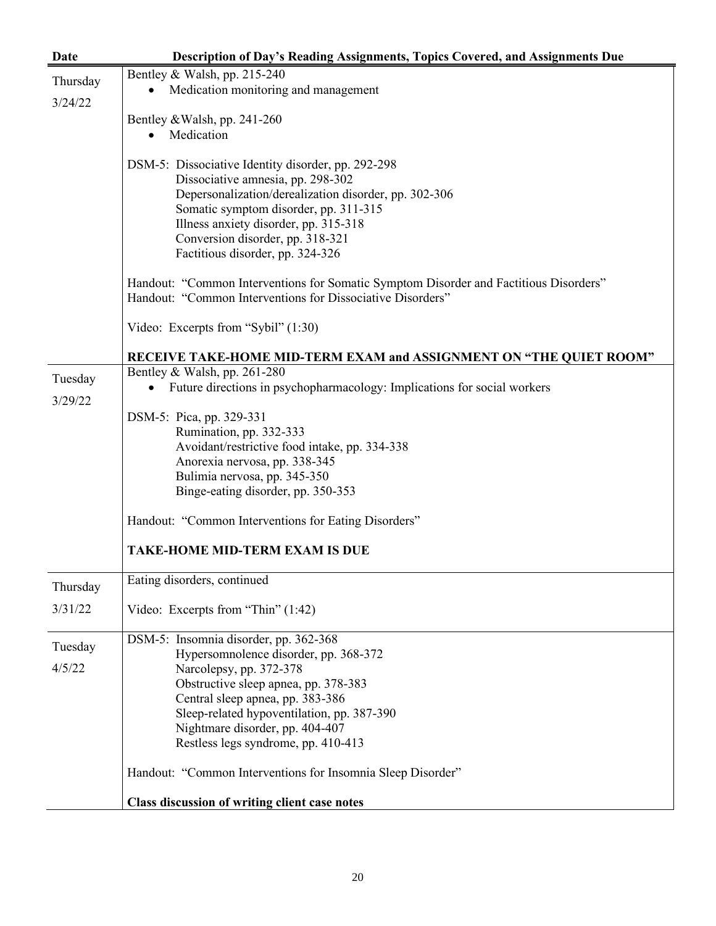| Date                | <b>Description of Day's Reading Assignments, Topics Covered, and Assignments Due</b>                                                                |
|---------------------|-----------------------------------------------------------------------------------------------------------------------------------------------------|
|                     | Bentley & Walsh, pp. 215-240                                                                                                                        |
| Thursday<br>3/24/22 | Medication monitoring and management<br>$\bullet$                                                                                                   |
|                     | Bentley & Walsh, pp. 241-260                                                                                                                        |
|                     | Medication                                                                                                                                          |
|                     |                                                                                                                                                     |
|                     | DSM-5: Dissociative Identity disorder, pp. 292-298                                                                                                  |
|                     | Dissociative amnesia, pp. 298-302                                                                                                                   |
|                     | Depersonalization/derealization disorder, pp. 302-306                                                                                               |
|                     | Somatic symptom disorder, pp. 311-315<br>Illness anxiety disorder, pp. 315-318                                                                      |
|                     | Conversion disorder, pp. 318-321                                                                                                                    |
|                     | Factitious disorder, pp. 324-326                                                                                                                    |
|                     |                                                                                                                                                     |
|                     | Handout: "Common Interventions for Somatic Symptom Disorder and Factitious Disorders"<br>Handout: "Common Interventions for Dissociative Disorders" |
|                     | Video: Excerpts from "Sybil" (1:30)                                                                                                                 |
|                     | RECEIVE TAKE-HOME MID-TERM EXAM and ASSIGNMENT ON "THE QUIET ROOM"                                                                                  |
| Tuesday             | Bentley & Walsh, pp. 261-280                                                                                                                        |
|                     | Future directions in psychopharmacology: Implications for social workers                                                                            |
| 3/29/22             | DSM-5: Pica, pp. 329-331                                                                                                                            |
|                     | Rumination, pp. 332-333                                                                                                                             |
|                     | Avoidant/restrictive food intake, pp. 334-338                                                                                                       |
|                     | Anorexia nervosa, pp. 338-345                                                                                                                       |
|                     | Bulimia nervosa, pp. 345-350                                                                                                                        |
|                     | Binge-eating disorder, pp. 350-353                                                                                                                  |
|                     | Handout: "Common Interventions for Eating Disorders"                                                                                                |
|                     | <b>TAKE-HOME MID-TERM EXAM IS DUE</b>                                                                                                               |
| Thursday            | Eating disorders, continued                                                                                                                         |
| 3/31/22             | Video: Excerpts from "Thin" (1:42)                                                                                                                  |
| Tuesday             | DSM-5: Insomnia disorder, pp. 362-368                                                                                                               |
|                     | Hypersomnolence disorder, pp. 368-372                                                                                                               |
| 4/5/22              | Narcolepsy, pp. 372-378                                                                                                                             |
|                     | Obstructive sleep apnea, pp. 378-383<br>Central sleep apnea, pp. 383-386                                                                            |
|                     | Sleep-related hypoventilation, pp. 387-390                                                                                                          |
|                     | Nightmare disorder, pp. 404-407                                                                                                                     |
|                     | Restless legs syndrome, pp. 410-413                                                                                                                 |
|                     | Handout: "Common Interventions for Insomnia Sleep Disorder"                                                                                         |
|                     | Class discussion of writing client case notes                                                                                                       |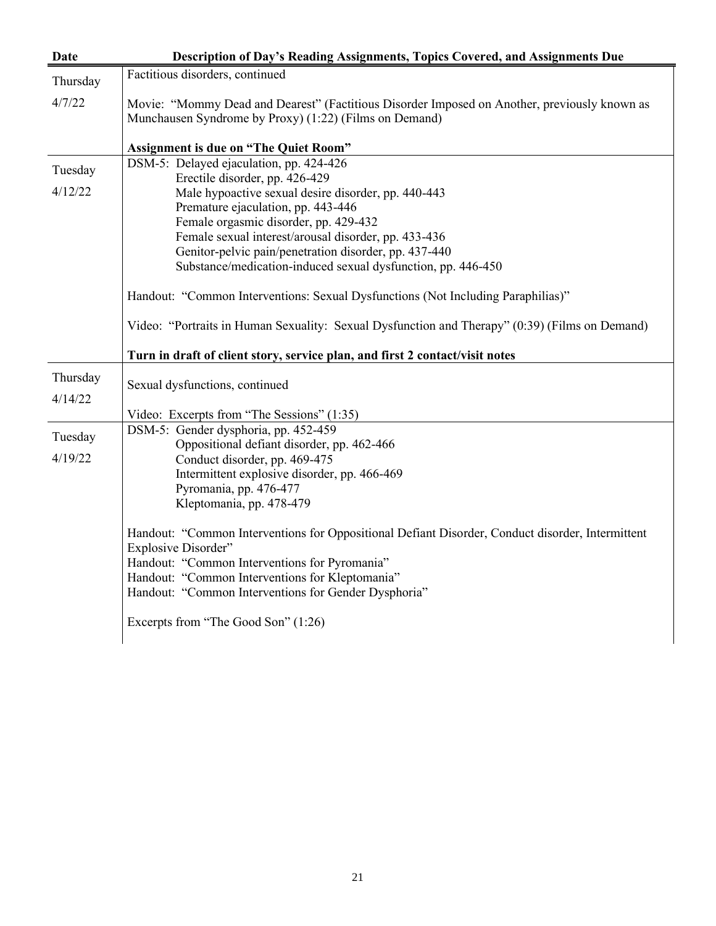| Date     | Description of Day's Reading Assignments, Topics Covered, and Assignments Due                                                                          |
|----------|--------------------------------------------------------------------------------------------------------------------------------------------------------|
| Thursday | Factitious disorders, continued                                                                                                                        |
| 4/7/22   | Movie: "Mommy Dead and Dearest" (Factitious Disorder Imposed on Another, previously known as<br>Munchausen Syndrome by Proxy) (1:22) (Films on Demand) |
|          | <b>Assignment is due on "The Quiet Room"</b>                                                                                                           |
| Tuesday  | DSM-5: Delayed ejaculation, pp. 424-426<br>Erectile disorder, pp. 426-429                                                                              |
| 4/12/22  | Male hypoactive sexual desire disorder, pp. 440-443                                                                                                    |
|          | Premature ejaculation, pp. 443-446                                                                                                                     |
|          | Female orgasmic disorder, pp. 429-432                                                                                                                  |
|          | Female sexual interest/arousal disorder, pp. 433-436                                                                                                   |
|          | Genitor-pelvic pain/penetration disorder, pp. 437-440                                                                                                  |
|          | Substance/medication-induced sexual dysfunction, pp. 446-450                                                                                           |
|          | Handout: "Common Interventions: Sexual Dysfunctions (Not Including Paraphilias)"                                                                       |
|          | Video: "Portraits in Human Sexuality: Sexual Dysfunction and Therapy" (0:39) (Films on Demand)                                                         |
|          | Turn in draft of client story, service plan, and first 2 contact/visit notes                                                                           |
| Thursday | Sexual dysfunctions, continued                                                                                                                         |
| 4/14/22  |                                                                                                                                                        |
|          | Video: Excerpts from "The Sessions" (1:35)                                                                                                             |
|          | DSM-5: Gender dysphoria, pp. 452-459                                                                                                                   |
| Tuesday  | Oppositional defiant disorder, pp. 462-466                                                                                                             |
| 4/19/22  | Conduct disorder, pp. 469-475                                                                                                                          |
|          | Intermittent explosive disorder, pp. 466-469                                                                                                           |
|          | Pyromania, pp. 476-477                                                                                                                                 |
|          | Kleptomania, pp. 478-479                                                                                                                               |
|          | Handout: "Common Interventions for Oppositional Defiant Disorder, Conduct disorder, Intermittent<br>Explosive Disorder"                                |
|          | Handout: "Common Interventions for Pyromania"                                                                                                          |
|          | Handout: "Common Interventions for Kleptomania"                                                                                                        |
|          | Handout: "Common Interventions for Gender Dysphoria"                                                                                                   |
|          | Excerpts from "The Good Son" (1:26)                                                                                                                    |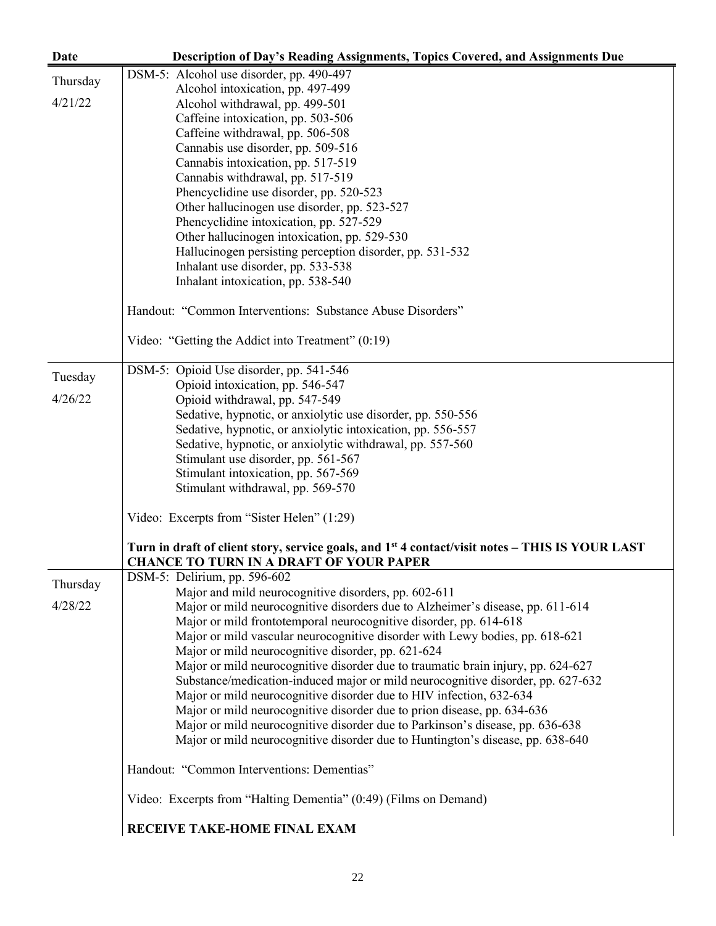| Date     | Description of Day's Reading Assignments, Topics Covered, and Assignments Due                                                                                 |
|----------|---------------------------------------------------------------------------------------------------------------------------------------------------------------|
|          | DSM-5: Alcohol use disorder, pp. 490-497                                                                                                                      |
| Thursday | Alcohol intoxication, pp. 497-499                                                                                                                             |
| 4/21/22  | Alcohol withdrawal, pp. 499-501                                                                                                                               |
|          | Caffeine intoxication, pp. 503-506                                                                                                                            |
|          | Caffeine withdrawal, pp. 506-508                                                                                                                              |
|          | Cannabis use disorder, pp. 509-516                                                                                                                            |
|          | Cannabis intoxication, pp. 517-519                                                                                                                            |
|          | Cannabis withdrawal, pp. 517-519                                                                                                                              |
|          | Phencyclidine use disorder, pp. 520-523                                                                                                                       |
|          | Other hallucinogen use disorder, pp. 523-527                                                                                                                  |
|          | Phencyclidine intoxication, pp. 527-529                                                                                                                       |
|          | Other hallucinogen intoxication, pp. 529-530                                                                                                                  |
|          | Hallucinogen persisting perception disorder, pp. 531-532                                                                                                      |
|          | Inhalant use disorder, pp. 533-538                                                                                                                            |
|          | Inhalant intoxication, pp. 538-540                                                                                                                            |
|          |                                                                                                                                                               |
|          | Handout: "Common Interventions: Substance Abuse Disorders"                                                                                                    |
|          | Video: "Getting the Addict into Treatment" (0:19)                                                                                                             |
|          | DSM-5: Opioid Use disorder, pp. 541-546                                                                                                                       |
| Tuesday  | Opioid intoxication, pp. 546-547                                                                                                                              |
| 4/26/22  | Opioid withdrawal, pp. 547-549                                                                                                                                |
|          | Sedative, hypnotic, or anxiolytic use disorder, pp. 550-556                                                                                                   |
|          | Sedative, hypnotic, or anxiolytic intoxication, pp. 556-557                                                                                                   |
|          | Sedative, hypnotic, or anxiolytic withdrawal, pp. 557-560                                                                                                     |
|          | Stimulant use disorder, pp. 561-567                                                                                                                           |
|          | Stimulant intoxication, pp. 567-569                                                                                                                           |
|          | Stimulant withdrawal, pp. 569-570                                                                                                                             |
|          | Video: Excerpts from "Sister Helen" (1:29)                                                                                                                    |
|          | Turn in draft of client story, service goals, and 1 <sup>st</sup> 4 contact/visit notes – THIS IS YOUR LAST<br><b>CHANCE TO TURN IN A DRAFT OF YOUR PAPER</b> |
| Thursday | DSM-5: Delirium, pp. 596-602                                                                                                                                  |
|          | Major and mild neurocognitive disorders, pp. 602-611                                                                                                          |
| 4/28/22  | Major or mild neurocognitive disorders due to Alzheimer's disease, pp. 611-614                                                                                |
|          | Major or mild frontotemporal neurocognitive disorder, pp. 614-618                                                                                             |
|          | Major or mild vascular neurocognitive disorder with Lewy bodies, pp. 618-621                                                                                  |
|          | Major or mild neurocognitive disorder, pp. 621-624                                                                                                            |
|          | Major or mild neurocognitive disorder due to traumatic brain injury, pp. 624-627                                                                              |
|          | Substance/medication-induced major or mild neurocognitive disorder, pp. 627-632                                                                               |
|          | Major or mild neurocognitive disorder due to HIV infection, 632-634                                                                                           |
|          | Major or mild neurocognitive disorder due to prion disease, pp. 634-636                                                                                       |
|          | Major or mild neurocognitive disorder due to Parkinson's disease, pp. 636-638                                                                                 |
|          | Major or mild neurocognitive disorder due to Huntington's disease, pp. 638-640                                                                                |
|          | Handout: "Common Interventions: Dementias"                                                                                                                    |
|          | Video: Excerpts from "Halting Dementia" (0:49) (Films on Demand)                                                                                              |
|          | RECEIVE TAKE-HOME FINAL EXAM                                                                                                                                  |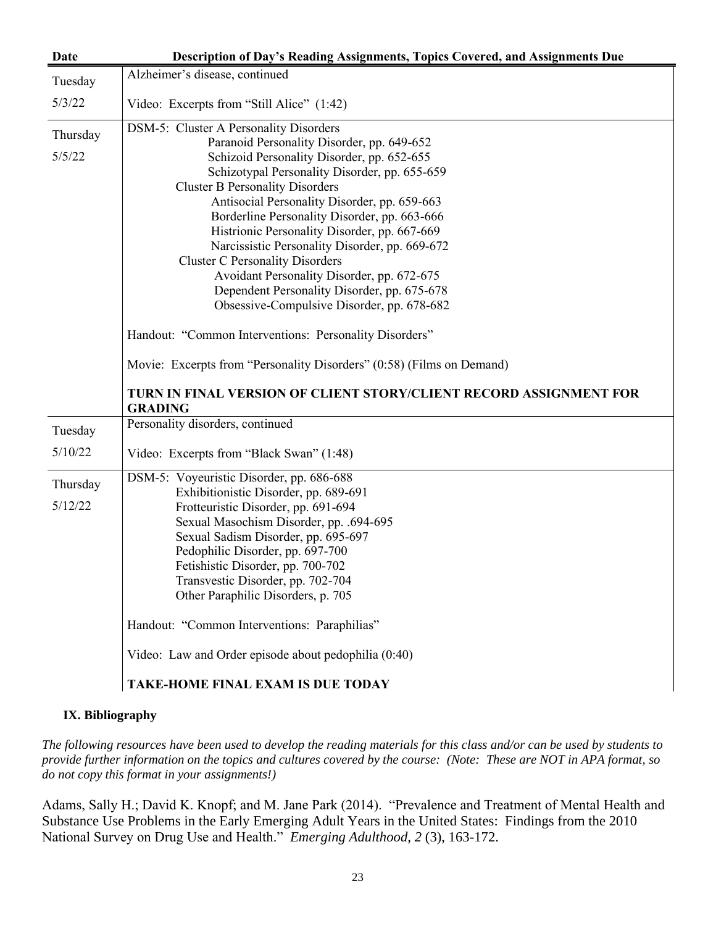| <b>Date</b> | Description of Day's Reading Assignments, Topics Covered, and Assignments Due        |
|-------------|--------------------------------------------------------------------------------------|
| Tuesday     | Alzheimer's disease, continued                                                       |
| 5/3/22      | Video: Excerpts from "Still Alice" (1:42)                                            |
| Thursday    | DSM-5: Cluster A Personality Disorders                                               |
|             | Paranoid Personality Disorder, pp. 649-652                                           |
| 5/5/22      | Schizoid Personality Disorder, pp. 652-655                                           |
|             | Schizotypal Personality Disorder, pp. 655-659                                        |
|             | <b>Cluster B Personality Disorders</b>                                               |
|             | Antisocial Personality Disorder, pp. 659-663                                         |
|             | Borderline Personality Disorder, pp. 663-666                                         |
|             | Histrionic Personality Disorder, pp. 667-669                                         |
|             | Narcissistic Personality Disorder, pp. 669-672                                       |
|             | <b>Cluster C Personality Disorders</b>                                               |
|             | Avoidant Personality Disorder, pp. 672-675                                           |
|             | Dependent Personality Disorder, pp. 675-678                                          |
|             | Obsessive-Compulsive Disorder, pp. 678-682                                           |
|             | Handout: "Common Interventions: Personality Disorders"                               |
|             | Movie: Excerpts from "Personality Disorders" (0:58) (Films on Demand)                |
|             | TURN IN FINAL VERSION OF CLIENT STORY/CLIENT RECORD ASSIGNMENT FOR<br><b>GRADING</b> |
| Tuesday     | Personality disorders, continued                                                     |
| 5/10/22     | Video: Excerpts from "Black Swan" (1:48)                                             |
| Thursday    | DSM-5: Voyeuristic Disorder, pp. 686-688                                             |
| 5/12/22     | Exhibitionistic Disorder, pp. 689-691                                                |
|             | Frotteuristic Disorder, pp. 691-694                                                  |
|             | Sexual Masochism Disorder, pp. .694-695                                              |
|             | Sexual Sadism Disorder, pp. 695-697                                                  |
|             | Pedophilic Disorder, pp. 697-700                                                     |
|             | Fetishistic Disorder, pp. 700-702<br>Transvestic Disorder, pp. 702-704               |
|             | Other Paraphilic Disorders, p. 705                                                   |
|             |                                                                                      |
|             | Handout: "Common Interventions: Paraphilias"                                         |
|             | Video: Law and Order episode about pedophilia (0:40)                                 |
|             | <b>TAKE-HOME FINAL EXAM IS DUE TODAY</b>                                             |

### **IX. Bibliography**

*The following resources have been used to develop the reading materials for this class and/or can be used by students to provide further information on the topics and cultures covered by the course: (Note: These are NOT in APA format, so do not copy this format in your assignments!)*

Adams, Sally H.; David K. Knopf; and M. Jane Park (2014). "Prevalence and Treatment of Mental Health and Substance Use Problems in the Early Emerging Adult Years in the United States: Findings from the 2010 National Survey on Drug Use and Health." *Emerging Adulthood, 2* (3), 163-172.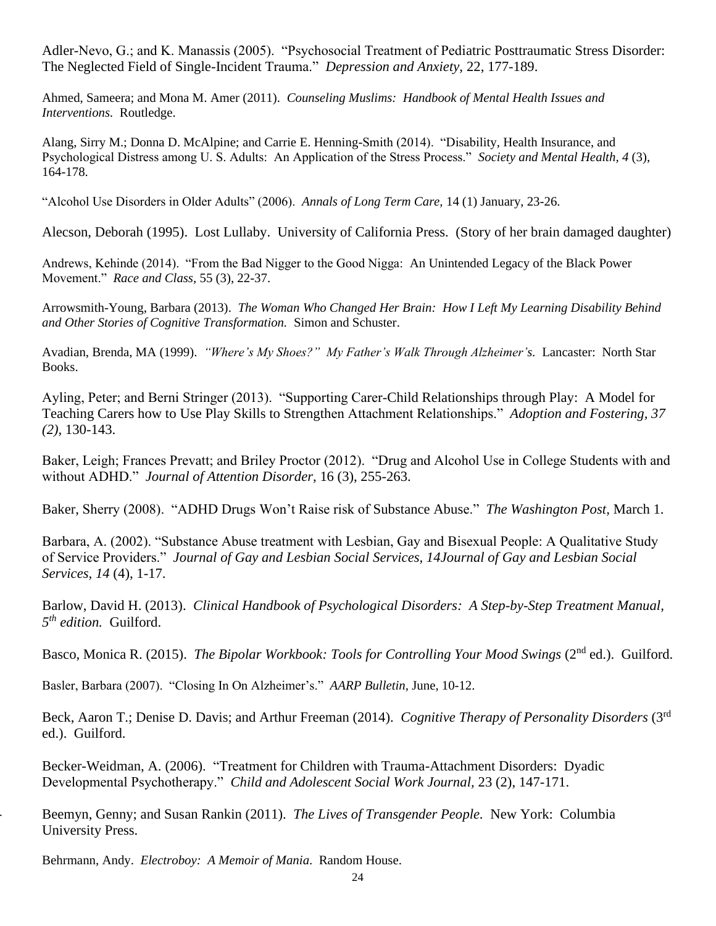Adler-Nevo, G.; and K. Manassis (2005). "Psychosocial Treatment of Pediatric Posttraumatic Stress Disorder: The Neglected Field of Single-Incident Trauma." *Depression and Anxiety,* 22, 177-189.

Ahmed, Sameera; and Mona M. Amer (2011). *Counseling Muslims: Handbook of Mental Health Issues and Interventions.* Routledge.

Alang, Sirry M.; Donna D. McAlpine; and Carrie E. Henning-Smith (2014). "Disability, Health Insurance, and Psychological Distress among U. S. Adults: An Application of the Stress Process." *Society and Mental Health, 4* (3), 164-178.

"Alcohol Use Disorders in Older Adults" (2006). *Annals of Long Term Care,* 14 (1) January, 23-26.

Alecson, Deborah (1995). Lost Lullaby. University of California Press. (Story of her brain damaged daughter)

Andrews, Kehinde (2014). "From the Bad Nigger to the Good Nigga: An Unintended Legacy of the Black Power Movement." *Race and Class,* 55 (3), 22-37.

Arrowsmith-Young, Barbara (2013). *The Woman Who Changed Her Brain: How I Left My Learning Disability Behind and Other Stories of Cognitive Transformation.* Simon and Schuster.

Avadian, Brenda, MA (1999). *"Where's My Shoes?" My Father's Walk Through Alzheimer's.* Lancaster: North Star Books.

Ayling, Peter; and Berni Stringer (2013). "Supporting Carer-Child Relationships through Play: A Model for Teaching Carers how to Use Play Skills to Strengthen Attachment Relationships." *Adoption and Fostering, 37 (2),* 130-143.

Baker, Leigh; Frances Prevatt; and Briley Proctor (2012). "Drug and Alcohol Use in College Students with and without ADHD." *Journal of Attention Disorder,* 16 (3), 255-263.

Baker, Sherry (2008). "ADHD Drugs Won't Raise risk of Substance Abuse." *The Washington Post,* March 1.

Barbara, A. (2002). "Substance Abuse treatment with Lesbian, Gay and Bisexual People: A Qualitative Study of Service Providers." *Journal of Gay and Lesbian Social Services, 14Journal of Gay and Lesbian Social Services, 14* (4), 1-17.

Barlow, David H. (2013). *Clinical Handbook of Psychological Disorders: A Step-by-Step Treatment Manual, 5 th edition.* Guilford.

Basco, Monica R. (2015). *The Bipolar Workbook: Tools for Controlling Your Mood Swings* (2<sup>nd</sup> ed.). Guilford.

Basler, Barbara (2007). "Closing In On Alzheimer's." *AARP Bulletin,* June, 10-12.

Beck, Aaron T.; Denise D. Davis; and Arthur Freeman (2014). *Cognitive Therapy of Personality Disorders* (3rd ed.). Guilford.

Becker-Weidman, A. (2006). "Treatment for Children with Trauma-Attachment Disorders: Dyadic Developmental Psychotherapy." *Child and Adolescent Social Work Journal,* 23 (2), 147-171.

Beemyn, Genny; and Susan Rankin (2011). *The Lives of Transgender People*. New York: Columbia University Press.

Behrmann, Andy. *Electroboy: A Memoir of Mania*. Random House.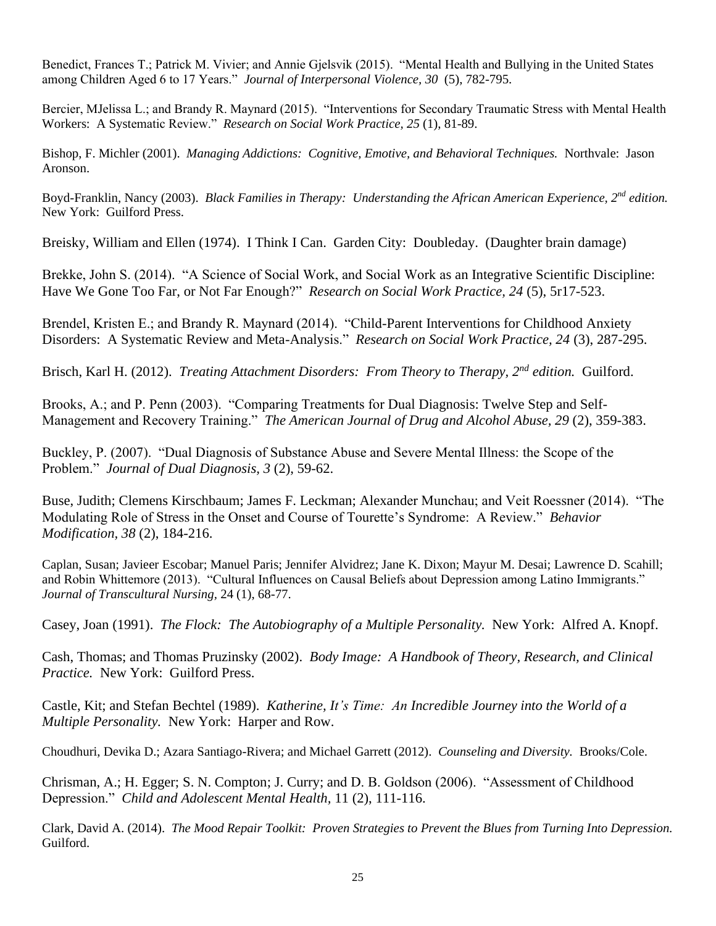Benedict, Frances T.; Patrick M. Vivier; and Annie Gjelsvik (2015). "Mental Health and Bullying in the United States among Children Aged 6 to 17 Years." *Journal of Interpersonal Violence, 30* (5), 782-795.

Bercier, MJelissa L.; and Brandy R. Maynard (2015). "Interventions for Secondary Traumatic Stress with Mental Health Workers: A Systematic Review." *Research on Social Work Practice, 25* (1), 81-89.

Bishop, F. Michler (2001). *Managing Addictions: Cognitive, Emotive, and Behavioral Techniques.* Northvale: Jason Aronson.

Boyd-Franklin, Nancy (2003). *Black Families in Therapy: Understanding the African American Experience, 2nd edition.* New York: Guilford Press.

Breisky, William and Ellen (1974). I Think I Can. Garden City: Doubleday. (Daughter brain damage)

Brekke, John S. (2014). "A Science of Social Work, and Social Work as an Integrative Scientific Discipline: Have We Gone Too Far, or Not Far Enough?" *Research on Social Work Practice, 24* (5), 5r17-523.

Brendel, Kristen E.; and Brandy R. Maynard (2014). "Child-Parent Interventions for Childhood Anxiety Disorders: A Systematic Review and Meta-Analysis." *Research on Social Work Practice, 24* (3), 287-295.

Brisch, Karl H. (2012). *Treating Attachment Disorders: From Theory to Therapy, 2nd edition.* Guilford.

Brooks, A.; and P. Penn (2003). "Comparing Treatments for Dual Diagnosis: Twelve Step and Self-Management and Recovery Training." *The American Journal of Drug and Alcohol Abuse, 29* (2), 359-383.

Buckley, P. (2007). "Dual Diagnosis of Substance Abuse and Severe Mental Illness: the Scope of the Problem." *Journal of Dual Diagnosis, 3* (2), 59-62.

Buse, Judith; Clemens Kirschbaum; James F. Leckman; Alexander Munchau; and Veit Roessner (2014). "The Modulating Role of Stress in the Onset and Course of Tourette's Syndrome: A Review." *Behavior Modification, 38* (2), 184-216.

Caplan, Susan; Javieer Escobar; Manuel Paris; Jennifer Alvidrez; Jane K. Dixon; Mayur M. Desai; Lawrence D. Scahill; and Robin Whittemore (2013). "Cultural Influences on Causal Beliefs about Depression among Latino Immigrants." *Journal of Transcultural Nursing,* 24 (1), 68-77.

Casey, Joan (1991). *The Flock: The Autobiography of a Multiple Personality.* New York: Alfred A. Knopf.

Cash, Thomas; and Thomas Pruzinsky (2002). *Body Image: A Handbook of Theory, Research, and Clinical Practice.* New York: Guilford Press.

Castle, Kit; and Stefan Bechtel (1989). *Katherine, It's Time: An Incredible Journey into the World of a Multiple Personality.* New York: Harper and Row.

Choudhuri, Devika D.; Azara Santiago-Rivera; and Michael Garrett (2012). *Counseling and Diversity.* Brooks/Cole.

Chrisman, A.; H. Egger; S. N. Compton; J. Curry; and D. B. Goldson (2006). "Assessment of Childhood Depression." *Child and Adolescent Mental Health,* 11 (2), 111-116.

Clark, David A. (2014). *The Mood Repair Toolkit: Proven Strategies to Prevent the Blues from Turning Into Depression.* Guilford.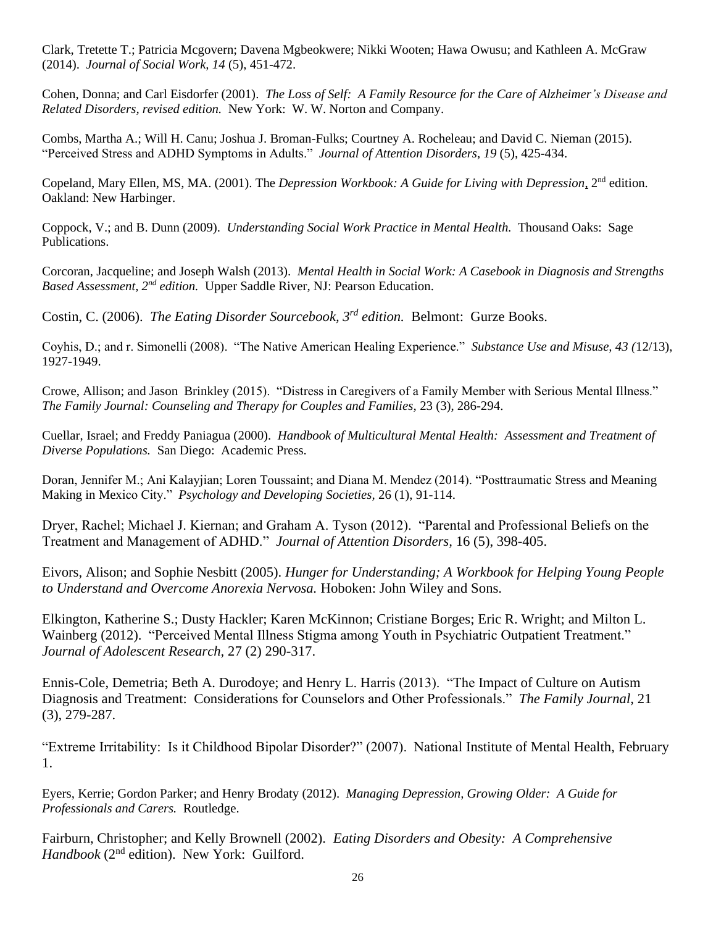Clark, Tretette T.; Patricia Mcgovern; Davena Mgbeokwere; Nikki Wooten; Hawa Owusu; and Kathleen A. McGraw (2014). *Journal of Social Work, 14* (5), 451-472.

Cohen, Donna; and Carl Eisdorfer (2001). *The Loss of Self: A Family Resource for the Care of Alzheimer's Disease and Related Disorders, revised edition.* New York: W. W. Norton and Company.

Combs, Martha A.; Will H. Canu; Joshua J. Broman-Fulks; Courtney A. Rocheleau; and David C. Nieman (2015). "Perceived Stress and ADHD Symptoms in Adults." *Journal of Attention Disorders, 19* (5), 425-434.

Copeland, Mary Ellen, MS, MA. (2001). The *Depression Workbook: A Guide for Living with Depression*, 2<sup>nd</sup> edition. Oakland: New Harbinger.

Coppock, V.; and B. Dunn (2009). *Understanding Social Work Practice in Mental Health.* Thousand Oaks: Sage Publications.

Corcoran, Jacqueline; and Joseph Walsh (2013). *Mental Health in Social Work: A Casebook in Diagnosis and Strengths Based Assessment, 2nd edition.* Upper Saddle River, NJ: Pearson Education.

Costin, C. (2006). *The Eating Disorder Sourcebook, 3rd edition.* Belmont: Gurze Books.

Coyhis, D.; and r. Simonelli (2008). "The Native American Healing Experience." *Substance Use and Misuse, 43 (*12/13), 1927-1949.

Crowe, Allison; and Jason Brinkley (2015). "Distress in Caregivers of a Family Member with Serious Mental Illness." *The Family Journal: Counseling and Therapy for Couples and Families,* 23 (3), 286-294.

Cuellar, Israel; and Freddy Paniagua (2000). *Handbook of Multicultural Mental Health: Assessment and Treatment of Diverse Populations.* San Diego: Academic Press.

Doran, Jennifer M.; Ani Kalayjian; Loren Toussaint; and Diana M. Mendez (2014). "Posttraumatic Stress and Meaning Making in Mexico City." *Psychology and Developing Societies,* 26 (1), 91-114.

Dryer, Rachel; Michael J. Kiernan; and Graham A. Tyson (2012). "Parental and Professional Beliefs on the Treatment and Management of ADHD." *Journal of Attention Disorders,* 16 (5), 398-405.

Eivors, Alison; and Sophie Nesbitt (2005). *Hunger for Understanding; A Workbook for Helping Young People to Understand and Overcome Anorexia Nervosa.* Hoboken: John Wiley and Sons.

Elkington, Katherine S.; Dusty Hackler; Karen McKinnon; Cristiane Borges; Eric R. Wright; and Milton L. Wainberg (2012). "Perceived Mental Illness Stigma among Youth in Psychiatric Outpatient Treatment." *Journal of Adolescent Research,* 27 (2) 290-317.

Ennis-Cole, Demetria; Beth A. Durodoye; and Henry L. Harris (2013). "The Impact of Culture on Autism Diagnosis and Treatment: Considerations for Counselors and Other Professionals." *The Family Journal,* 21 (3), 279-287.

"Extreme Irritability: Is it Childhood Bipolar Disorder?" (2007). National Institute of Mental Health, February 1.

Eyers, Kerrie; Gordon Parker; and Henry Brodaty (2012). *Managing Depression, Growing Older: A Guide for Professionals and Carers.* Routledge.

Fairburn, Christopher; and Kelly Brownell (2002). *Eating Disorders and Obesity: A Comprehensive Handbook* (2<sup>nd</sup> edition). New York: Guilford.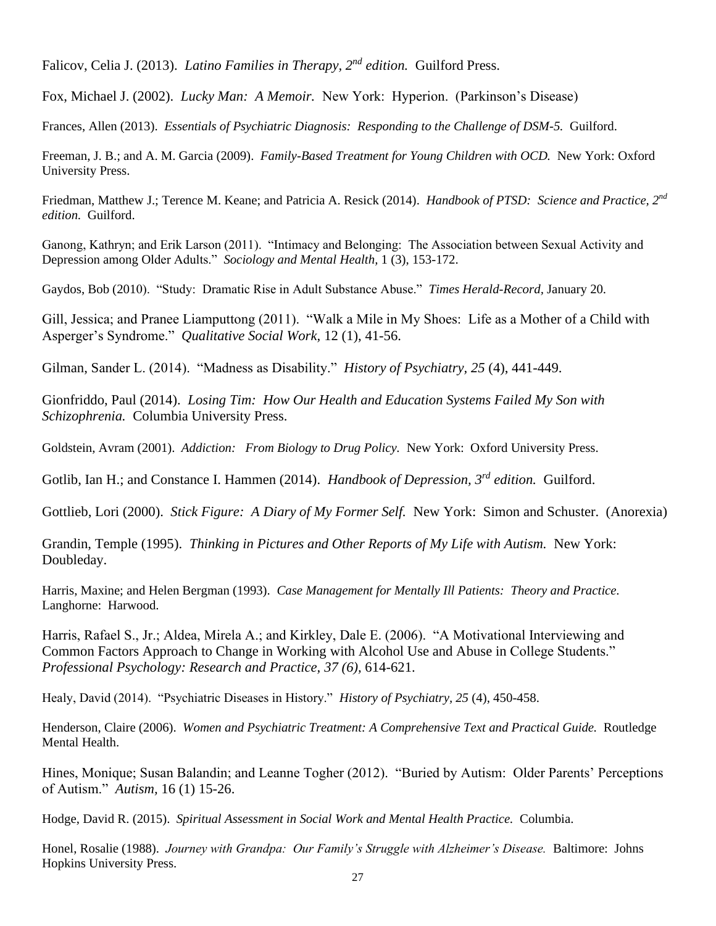Falicov, Celia J. (2013). *Latino Families in Therapy, 2nd edition.* Guilford Press.

Fox, Michael J. (2002). *Lucky Man: A Memoir.* New York: Hyperion. (Parkinson's Disease)

Frances, Allen (2013). *Essentials of Psychiatric Diagnosis: Responding to the Challenge of DSM-5.* Guilford.

Freeman, J. B.; and A. M. Garcia (2009). *Family-Based Treatment for Young Children with OCD.* New York: Oxford University Press.

Friedman, Matthew J.; Terence M. Keane; and Patricia A. Resick (2014). *Handbook of PTSD: Science and Practice, 2nd edition.* Guilford.

Ganong, Kathryn; and Erik Larson (2011). "Intimacy and Belonging: The Association between Sexual Activity and Depression among Older Adults." *Sociology and Mental Health,* 1 (3), 153-172.

Gaydos, Bob (2010). "Study: Dramatic Rise in Adult Substance Abuse." *Times Herald-Record,* January 20.

Gill, Jessica; and Pranee Liamputtong (2011). "Walk a Mile in My Shoes: Life as a Mother of a Child with Asperger's Syndrome." *Qualitative Social Work,* 12 (1), 41-56.

Gilman, Sander L. (2014). "Madness as Disability." *History of Psychiatry, 25* (4), 441-449.

Gionfriddo, Paul (2014). *Losing Tim: How Our Health and Education Systems Failed My Son with Schizophrenia.* Columbia University Press.

Goldstein, Avram (2001). *Addiction: From Biology to Drug Policy.* New York: Oxford University Press.

Gotlib, Ian H.; and Constance I. Hammen (2014). *Handbook of Depression, 3rd edition.* Guilford.

Gottlieb, Lori (2000). *Stick Figure: A Diary of My Former Self.* New York: Simon and Schuster. (Anorexia)

Grandin, Temple (1995). *Thinking in Pictures and Other Reports of My Life with Autism.* New York: Doubleday.

Harris, Maxine; and Helen Bergman (1993). *Case Management for Mentally Ill Patients: Theory and Practice.* Langhorne: Harwood.

Harris, Rafael S., Jr.; Aldea, Mirela A.; and Kirkley, Dale E. (2006). "A Motivational Interviewing and Common Factors Approach to Change in Working with Alcohol Use and Abuse in College Students." *Professional Psychology: Research and Practice, 37 (6),* 614-621.

Healy, David (2014). "Psychiatric Diseases in History." *History of Psychiatry, 25* (4), 450-458.

Henderson, Claire (2006). *Women and Psychiatric Treatment: A Comprehensive Text and Practical Guide.* Routledge Mental Health.

Hines, Monique; Susan Balandin; and Leanne Togher (2012). "Buried by Autism: Older Parents' Perceptions of Autism." *Autism,* 16 (1) 15-26.

Hodge, David R. (2015). *Spiritual Assessment in Social Work and Mental Health Practice.* Columbia.

Honel, Rosalie (1988). *Journey with Grandpa: Our Family's Struggle with Alzheimer's Disease.* Baltimore: Johns Hopkins University Press.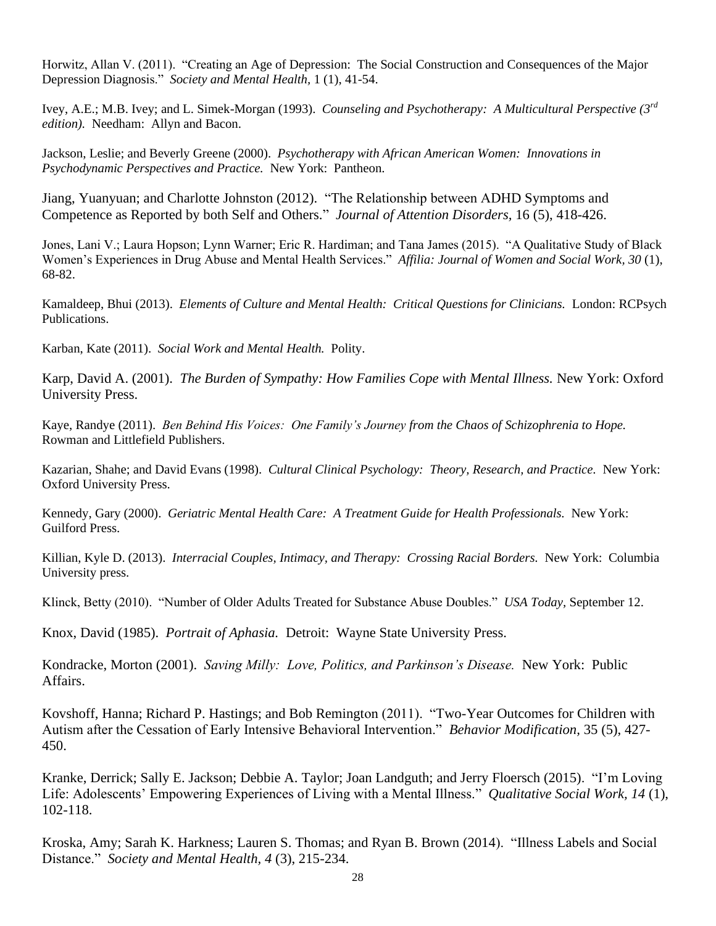Horwitz, Allan V. (2011). "Creating an Age of Depression: The Social Construction and Consequences of the Major Depression Diagnosis." *Society and Mental Health,* 1 (1), 41-54.

Ivey, A.E.; M.B. Ivey; and L. Simek-Morgan (1993). *Counseling and Psychotherapy: A Multicultural Perspective (3rd edition).* Needham: Allyn and Bacon.

Jackson, Leslie; and Beverly Greene (2000). *Psychotherapy with African American Women: Innovations in Psychodynamic Perspectives and Practice.* New York: Pantheon.

Jiang, Yuanyuan; and Charlotte Johnston (2012). "The Relationship between ADHD Symptoms and Competence as Reported by both Self and Others." *Journal of Attention Disorders,* 16 (5), 418-426.

Jones, Lani V.; Laura Hopson; Lynn Warner; Eric R. Hardiman; and Tana James (2015). "A Qualitative Study of Black Women's Experiences in Drug Abuse and Mental Health Services." *Affilia: Journal of Women and Social Work, 30* (1), 68-82.

Kamaldeep, Bhui (2013). *Elements of Culture and Mental Health: Critical Questions for Clinicians.* London: RCPsych Publications.

Karban, Kate (2011). *Social Work and Mental Health.* Polity.

Karp, David A. (2001). *The Burden of Sympathy: How Families Cope with Mental Illness.* New York: Oxford University Press.

Kaye, Randye (2011). *Ben Behind His Voices: One Family's Journey from the Chaos of Schizophrenia to Hope.* Rowman and Littlefield Publishers.

Kazarian, Shahe; and David Evans (1998). *Cultural Clinical Psychology: Theory, Research, and Practice.* New York: Oxford University Press.

Kennedy, Gary (2000). *Geriatric Mental Health Care: A Treatment Guide for Health Professionals.* New York: Guilford Press.

Killian, Kyle D. (2013). *Interracial Couples, Intimacy, and Therapy: Crossing Racial Borders.* New York: Columbia University press.

Klinck, Betty (2010). "Number of Older Adults Treated for Substance Abuse Doubles." *USA Today,* September 12.

Knox, David (1985). *Portrait of Aphasia.* Detroit: Wayne State University Press.

Kondracke, Morton (2001). *Saving Milly: Love, Politics, and Parkinson's Disease.* New York: Public Affairs.

Kovshoff, Hanna; Richard P. Hastings; and Bob Remington (2011). "Two-Year Outcomes for Children with Autism after the Cessation of Early Intensive Behavioral Intervention." *Behavior Modification,* 35 (5), 427- 450.

Kranke, Derrick; Sally E. Jackson; Debbie A. Taylor; Joan Landguth; and Jerry Floersch (2015). "I'm Loving Life: Adolescents' Empowering Experiences of Living with a Mental Illness." *Qualitative Social Work, 14* (1), 102-118.

Kroska, Amy; Sarah K. Harkness; Lauren S. Thomas; and Ryan B. Brown (2014). "Illness Labels and Social Distance." *Society and Mental Health, 4* (3), 215-234.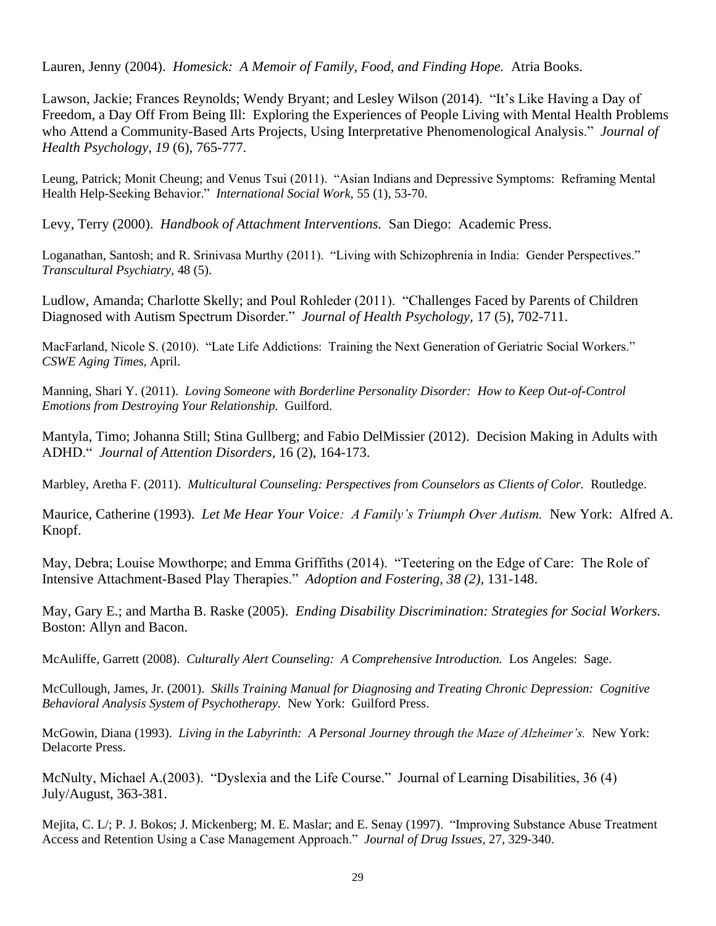Lauren, Jenny (2004). *Homesick: A Memoir of Family, Food, and Finding Hope.* Atria Books.

Lawson, Jackie; Frances Reynolds; Wendy Bryant; and Lesley Wilson (2014). "It's Like Having a Day of Freedom, a Day Off From Being Ill: Exploring the Experiences of People Living with Mental Health Problems who Attend a Community-Based Arts Projects, Using Interpretative Phenomenological Analysis." *Journal of Health Psychology, 19* (6), 765-777.

Leung, Patrick; Monit Cheung; and Venus Tsui (2011). "Asian Indians and Depressive Symptoms: Reframing Mental Health Help-Seeking Behavior." *International Social Work,* 55 (1), 53-70.

Levy, Terry (2000). *Handbook of Attachment Interventions.* San Diego: Academic Press.

Loganathan, Santosh; and R. Srinivasa Murthy (2011). "Living with Schizophrenia in India: Gender Perspectives." *Transcultural Psychiatry,* 48 (5).

Ludlow, Amanda; Charlotte Skelly; and Poul Rohleder (2011). "Challenges Faced by Parents of Children Diagnosed with Autism Spectrum Disorder." *Journal of Health Psychology,* 17 (5), 702-711.

MacFarland, Nicole S. (2010). "Late Life Addictions: Training the Next Generation of Geriatric Social Workers." *CSWE Aging Times,* April.

Manning, Shari Y. (2011). *Loving Someone with Borderline Personality Disorder: How to Keep Out-of-Control Emotions from Destroying Your Relationship.* Guilford.

Mantyla, Timo; Johanna Still; Stina Gullberg; and Fabio DelMissier (2012). Decision Making in Adults with ADHD." *Journal of Attention Disorders,* 16 (2), 164-173.

Marbley, Aretha F. (2011). *Multicultural Counseling: Perspectives from Counselors as Clients of Color.* Routledge.

Maurice, Catherine (1993). *Let Me Hear Your Voice: A Family's Triumph Over Autism.* New York: Alfred A. Knopf.

May, Debra; Louise Mowthorpe; and Emma Griffiths (2014). "Teetering on the Edge of Care: The Role of Intensive Attachment-Based Play Therapies." *Adoption and Fostering, 38 (2),* 131-148.

May, Gary E.; and Martha B. Raske (2005). *Ending Disability Discrimination: Strategies for Social Workers.*  Boston: Allyn and Bacon.

McAuliffe, Garrett (2008). *Culturally Alert Counseling: A Comprehensive Introduction.* Los Angeles: Sage.

McCullough, James, Jr. (2001). *Skills Training Manual for Diagnosing and Treating Chronic Depression: Cognitive Behavioral Analysis System of Psychotherapy.* New York: Guilford Press.

McGowin, Diana (1993). *Living in the Labyrinth: A Personal Journey through the Maze of Alzheimer's.* New York: Delacorte Press.

McNulty, Michael A.(2003). "Dyslexia and the Life Course." Journal of Learning Disabilities, 36 (4) July/August, 363-381.

Mejita, C. L/; P. J. Bokos; J. Mickenberg; M. E. Maslar; and E. Senay (1997). "Improving Substance Abuse Treatment Access and Retention Using a Case Management Approach." *Journal of Drug Issues,* 27, 329-340.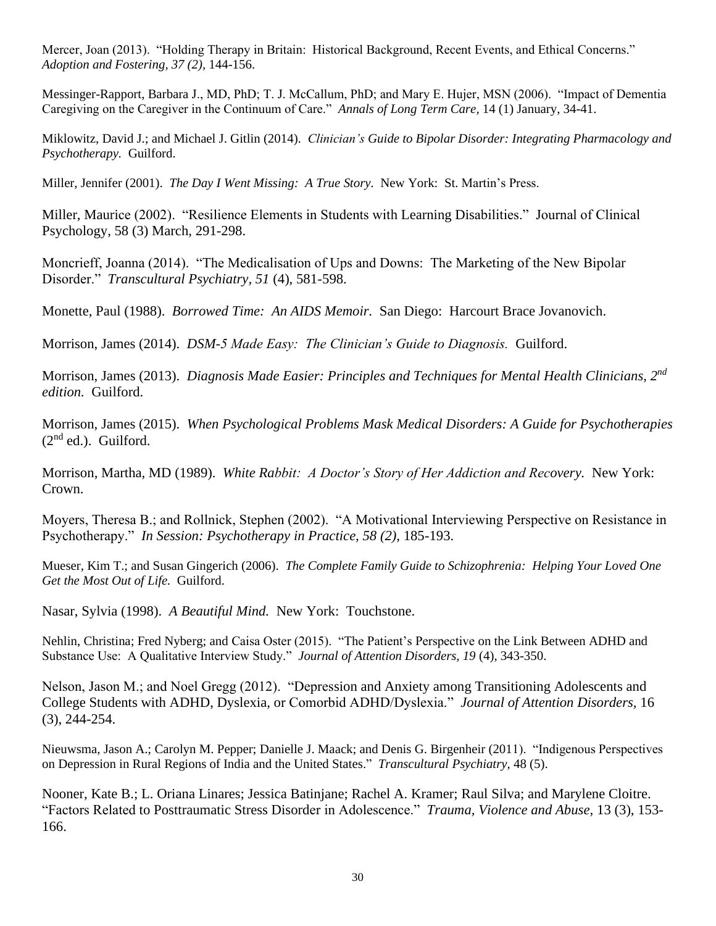Mercer, Joan (2013). "Holding Therapy in Britain: Historical Background, Recent Events, and Ethical Concerns." *Adoption and Fostering, 37 (2),* 144-156.

Messinger-Rapport, Barbara J., MD, PhD; T. J. McCallum, PhD; and Mary E. Hujer, MSN (2006). "Impact of Dementia Caregiving on the Caregiver in the Continuum of Care." *Annals of Long Term Care,* 14 (1) January, 34-41.

Miklowitz, David J.; and Michael J. Gitlin (2014). *Clinician's Guide to Bipolar Disorder: Integrating Pharmacology and Psychotherapy.* Guilford.

Miller, Jennifer (2001). *The Day I Went Missing: A True Story.* New York: St. Martin's Press.

Miller, Maurice (2002). "Resilience Elements in Students with Learning Disabilities." Journal of Clinical Psychology, 58 (3) March, 291-298.

Moncrieff, Joanna (2014). "The Medicalisation of Ups and Downs: The Marketing of the New Bipolar Disorder." *Transcultural Psychiatry, 51* (4), 581-598.

Monette, Paul (1988). *Borrowed Time: An AIDS Memoir.* San Diego: Harcourt Brace Jovanovich.

Morrison, James (2014). *DSM-5 Made Easy: The Clinician's Guide to Diagnosis.* Guilford.

Morrison, James (2013). *Diagnosis Made Easier: Principles and Techniques for Mental Health Clinicians, 2nd edition.* Guilford.

Morrison, James (2015). *When Psychological Problems Mask Medical Disorders: A Guide for Psychotherapies*   $(2<sup>nd</sup> ed.).$  Guilford.

Morrison, Martha, MD (1989). *White Rabbit: A Doctor's Story of Her Addiction and Recovery.* New York: Crown.

Moyers, Theresa B.; and Rollnick, Stephen (2002). "A Motivational Interviewing Perspective on Resistance in Psychotherapy." *In Session: Psychotherapy in Practice, 58 (2),* 185-193.

Mueser, Kim T.; and Susan Gingerich (2006). *The Complete Family Guide to Schizophrenia: Helping Your Loved One Get the Most Out of Life.* Guilford.

Nasar, Sylvia (1998). *A Beautiful Mind.* New York: Touchstone.

Nehlin, Christina; Fred Nyberg; and Caisa Oster (2015). "The Patient's Perspective on the Link Between ADHD and Substance Use: A Qualitative Interview Study." *Journal of Attention Disorders, 19* (4), 343-350.

Nelson, Jason M.; and Noel Gregg (2012). "Depression and Anxiety among Transitioning Adolescents and College Students with ADHD, Dyslexia, or Comorbid ADHD/Dyslexia." *Journal of Attention Disorders,* 16 (3), 244-254.

Nieuwsma, Jason A.; Carolyn M. Pepper; Danielle J. Maack; and Denis G. Birgenheir (2011). "Indigenous Perspectives on Depression in Rural Regions of India and the United States." *Transcultural Psychiatry,* 48 (5).

Nooner, Kate B.; L. Oriana Linares; Jessica Batinjane; Rachel A. Kramer; Raul Silva; and Marylene Cloitre. "Factors Related to Posttraumatic Stress Disorder in Adolescence." *Trauma, Violence and Abuse,* 13 (3), 153- 166.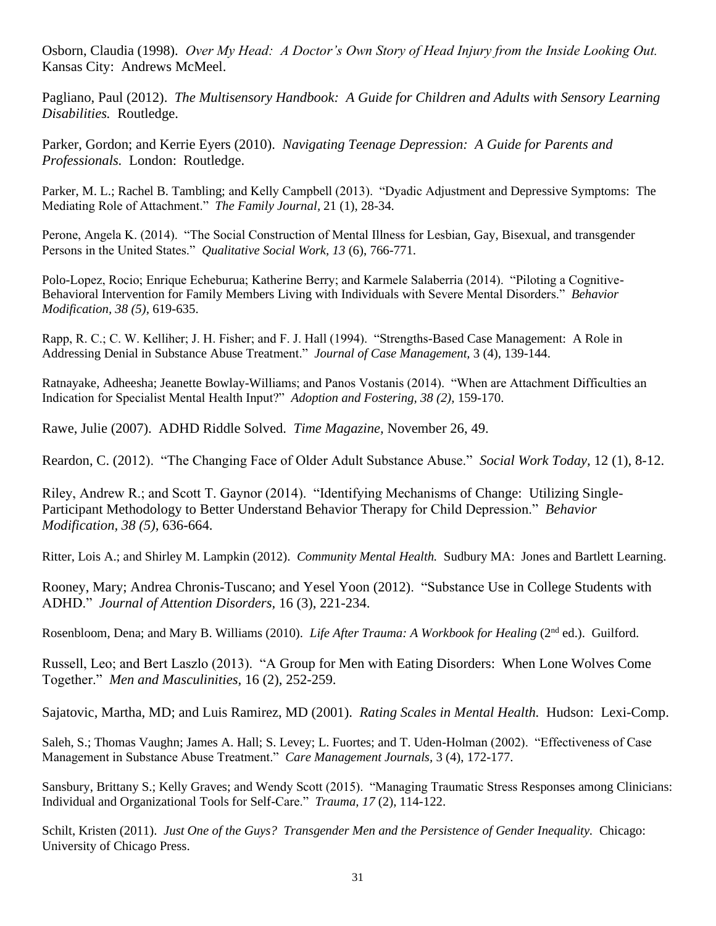Osborn, Claudia (1998). *Over My Head: A Doctor's Own Story of Head Injury from the Inside Looking Out.* Kansas City: Andrews McMeel.

Pagliano, Paul (2012). *The Multisensory Handbook: A Guide for Children and Adults with Sensory Learning Disabilities.* Routledge.

Parker, Gordon; and Kerrie Eyers (2010). *Navigating Teenage Depression: A Guide for Parents and Professionals.* London: Routledge.

Parker, M. L.; Rachel B. Tambling; and Kelly Campbell (2013). "Dyadic Adjustment and Depressive Symptoms: The Mediating Role of Attachment." *The Family Journal,* 21 (1), 28-34.

Perone, Angela K. (2014). "The Social Construction of Mental Illness for Lesbian, Gay, Bisexual, and transgender Persons in the United States." *Qualitative Social Work, 13* (6), 766-771.

Polo-Lopez, Rocio; Enrique Echeburua; Katherine Berry; and Karmele Salaberria (2014). "Piloting a Cognitive-Behavioral Intervention for Family Members Living with Individuals with Severe Mental Disorders." *Behavior Modification, 38 (5),* 619-635.

Rapp, R. C.; C. W. Kelliher; J. H. Fisher; and F. J. Hall (1994). "Strengths-Based Case Management: A Role in Addressing Denial in Substance Abuse Treatment." *Journal of Case Management,* 3 (4), 139-144.

Ratnayake, Adheesha; Jeanette Bowlay-Williams; and Panos Vostanis (2014). "When are Attachment Difficulties an Indication for Specialist Mental Health Input?" *Adoption and Fostering, 38 (2),* 159-170.

Rawe, Julie (2007). ADHD Riddle Solved. *Time Magazine,* November 26, 49.

Reardon, C. (2012). "The Changing Face of Older Adult Substance Abuse." *Social Work Today,* 12 (1), 8-12.

Riley, Andrew R.; and Scott T. Gaynor (2014). "Identifying Mechanisms of Change: Utilizing Single-Participant Methodology to Better Understand Behavior Therapy for Child Depression." *Behavior Modification, 38 (5),* 636-664.

Ritter, Lois A.; and Shirley M. Lampkin (2012). *Community Mental Health.* Sudbury MA: Jones and Bartlett Learning.

Rooney, Mary; Andrea Chronis-Tuscano; and Yesel Yoon (2012). "Substance Use in College Students with ADHD." *Journal of Attention Disorders,* 16 (3), 221-234.

Rosenbloom, Dena; and Mary B. Williams (2010). *Life After Trauma: A Workbook for Healing* (2<sup>nd</sup> ed.). Guilford.

Russell, Leo; and Bert Laszlo (2013). "A Group for Men with Eating Disorders: When Lone Wolves Come Together." *Men and Masculinities,* 16 (2), 252-259.

Sajatovic, Martha, MD; and Luis Ramirez, MD (2001). *Rating Scales in Mental Health.* Hudson: Lexi-Comp.

Saleh, S.; Thomas Vaughn; James A. Hall; S. Levey; L. Fuortes; and T. Uden-Holman (2002). "Effectiveness of Case Management in Substance Abuse Treatment." *Care Management Journals,* 3 (4), 172-177.

Sansbury, Brittany S.; Kelly Graves; and Wendy Scott (2015). "Managing Traumatic Stress Responses among Clinicians: Individual and Organizational Tools for Self-Care." *Trauma, 17* (2), 114-122.

Schilt, Kristen (2011). *Just One of the Guys? Transgender Men and the Persistence of Gender Inequality.* Chicago: University of Chicago Press.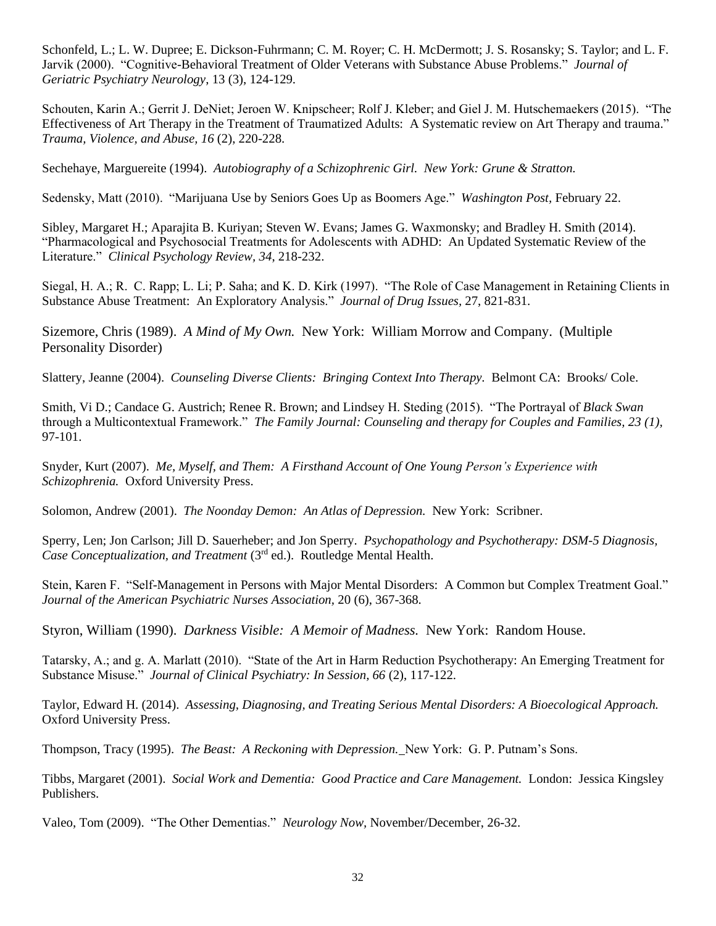Schonfeld, L.; L. W. Dupree; E. Dickson-Fuhrmann; C. M. Royer; C. H. McDermott; J. S. Rosansky; S. Taylor; and L. F. Jarvik (2000). "Cognitive-Behavioral Treatment of Older Veterans with Substance Abuse Problems." *Journal of Geriatric Psychiatry Neurology*, 13 (3), 124-129.

Schouten, Karin A.; Gerrit J. DeNiet; Jeroen W. Knipscheer; Rolf J. Kleber; and Giel J. M. Hutschemaekers (2015). "The Effectiveness of Art Therapy in the Treatment of Traumatized Adults: A Systematic review on Art Therapy and trauma." *Trauma, Violence, and Abuse, 16* (2), 220-228.

Sechehaye, Marguereite (1994). *Autobiography of a Schizophrenic Girl. New York: Grune & Stratton.*

Sedensky, Matt (2010). "Marijuana Use by Seniors Goes Up as Boomers Age." *Washington Post,* February 22.

Sibley, Margaret H.; Aparajita B. Kuriyan; Steven W. Evans; James G. Waxmonsky; and Bradley H. Smith (2014). "Pharmacological and Psychosocial Treatments for Adolescents with ADHD: An Updated Systematic Review of the Literature." *Clinical Psychology Review, 34*, 218-232.

Siegal, H. A.; R. C. Rapp; L. Li; P. Saha; and K. D. Kirk (1997). "The Role of Case Management in Retaining Clients in Substance Abuse Treatment: An Exploratory Analysis." *Journal of Drug Issues,* 27, 821-831.

Sizemore, Chris (1989). *A Mind of My Own.* New York: William Morrow and Company. (Multiple Personality Disorder)

Slattery, Jeanne (2004). *Counseling Diverse Clients: Bringing Context Into Therapy.* Belmont CA: Brooks/ Cole.

Smith, Vi D.; Candace G. Austrich; Renee R. Brown; and Lindsey H. Steding (2015). "The Portrayal of *Black Swan* through a Multicontextual Framework." *The Family Journal: Counseling and therapy for Couples and Families, 23 (1),*  97-101.

Snyder, Kurt (2007). *Me, Myself, and Them: A Firsthand Account of One Young Person's Experience with Schizophrenia.* Oxford University Press.

Solomon, Andrew (2001). *The Noonday Demon: An Atlas of Depression.* New York: Scribner.

Sperry, Len; Jon Carlson; Jill D. Sauerheber; and Jon Sperry. *Psychopathology and Psychotherapy: DSM-5 Diagnosis, Case Conceptualization, and Treatment* (3<sup>rd</sup> ed.). Routledge Mental Health.

Stein, Karen F. "Self-Management in Persons with Major Mental Disorders: A Common but Complex Treatment Goal." *Journal of the American Psychiatric Nurses Association,* 20 (6), 367-368.

Styron, William (1990). *Darkness Visible: A Memoir of Madness.* New York: Random House.

Tatarsky, A.; and g. A. Marlatt (2010). "State of the Art in Harm Reduction Psychotherapy: An Emerging Treatment for Substance Misuse." *Journal of Clinical Psychiatry: In Session, 66* (2), 117-122.

Taylor, Edward H. (2014). *Assessing, Diagnosing, and Treating Serious Mental Disorders: A Bioecological Approach.* Oxford University Press.

Thompson, Tracy (1995). *The Beast: A Reckoning with Depression.* New York: G. P. Putnam's Sons.

Tibbs, Margaret (2001). *Social Work and Dementia: Good Practice and Care Management.* London: Jessica Kingsley Publishers.

Valeo, Tom (2009). "The Other Dementias." *Neurology Now,* November/December, 26-32.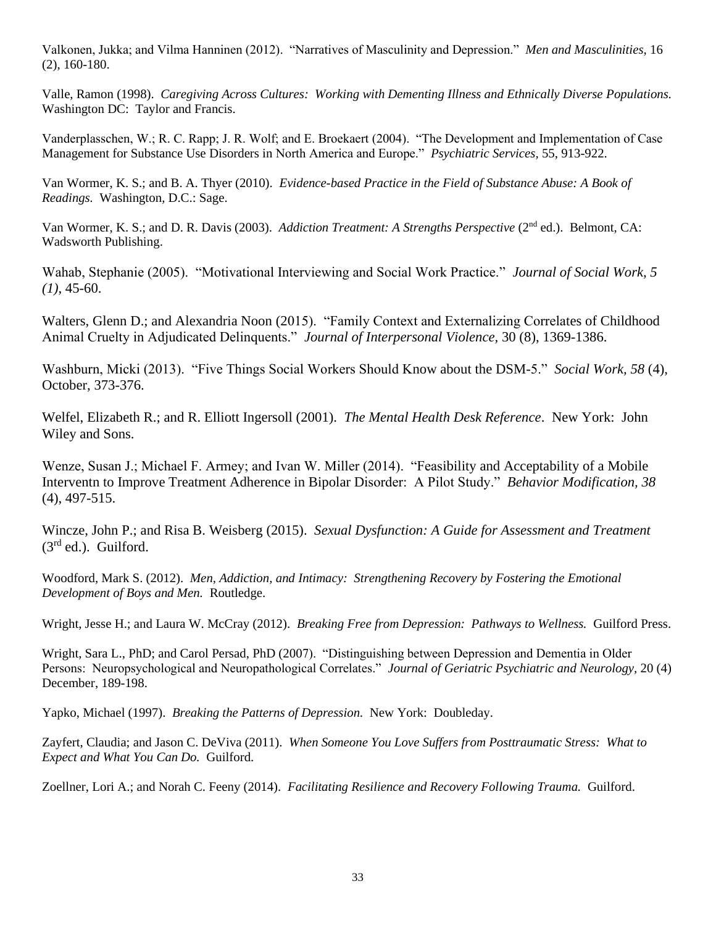Valkonen, Jukka; and Vilma Hanninen (2012). "Narratives of Masculinity and Depression." *Men and Masculinities*, 16 (2), 160-180.

Valle, Ramon (1998). *Caregiving Across Cultures: Working with Dementing Illness and Ethnically Diverse Populations.* Washington DC: Taylor and Francis.

Vanderplasschen, W.; R. C. Rapp; J. R. Wolf; and E. Broekaert (2004). "The Development and Implementation of Case Management for Substance Use Disorders in North America and Europe." *Psychiatric Services,* 55, 913-922.

Van Wormer, K. S.; and B. A. Thyer (2010). *Evidence-based Practice in the Field of Substance Abuse: A Book of Readings.* Washington, D.C.: Sage.

Van Wormer, K. S.; and D. R. Davis (2003). *Addiction Treatment: A Strengths Perspective* (2<sup>nd</sup> ed.). Belmont, CA: Wadsworth Publishing.

Wahab, Stephanie (2005). "Motivational Interviewing and Social Work Practice." *Journal of Social Work, 5 (1)*, 45-60.

Walters, Glenn D.; and Alexandria Noon (2015). "Family Context and Externalizing Correlates of Childhood Animal Cruelty in Adjudicated Delinquents." *Journal of Interpersonal Violence,* 30 (8), 1369-1386.

Washburn, Micki (2013). "Five Things Social Workers Should Know about the DSM-5." *Social Work, 58* (4), October, 373-376.

Welfel, Elizabeth R.; and R. Elliott Ingersoll (2001). *The Mental Health Desk Reference*. New York: John Wiley and Sons.

Wenze, Susan J.; Michael F. Armey; and Ivan W. Miller (2014). "Feasibility and Acceptability of a Mobile Interventn to Improve Treatment Adherence in Bipolar Disorder: A Pilot Study." *Behavior Modification, 38*  (4), 497-515.

Wincze, John P.; and Risa B. Weisberg (2015). *Sexual Dysfunction: A Guide for Assessment and Treatment*  (3rd ed.). Guilford.

Woodford, Mark S. (2012). *Men, Addiction, and Intimacy: Strengthening Recovery by Fostering the Emotional Development of Boys and Men.* Routledge.

Wright, Jesse H.; and Laura W. McCray (2012). *Breaking Free from Depression: Pathways to Wellness.* Guilford Press.

Wright, Sara L., PhD; and Carol Persad, PhD (2007). "Distinguishing between Depression and Dementia in Older Persons: Neuropsychological and Neuropathological Correlates." *Journal of Geriatric Psychiatric and Neurology,* 20 (4) December, 189-198.

Yapko, Michael (1997). *Breaking the Patterns of Depression.* New York: Doubleday.

Zayfert, Claudia; and Jason C. DeViva (2011). *When Someone You Love Suffers from Posttraumatic Stress: What to Expect and What You Can Do.* Guilford.

Zoellner, Lori A.; and Norah C. Feeny (2014). *Facilitating Resilience and Recovery Following Trauma.* Guilford.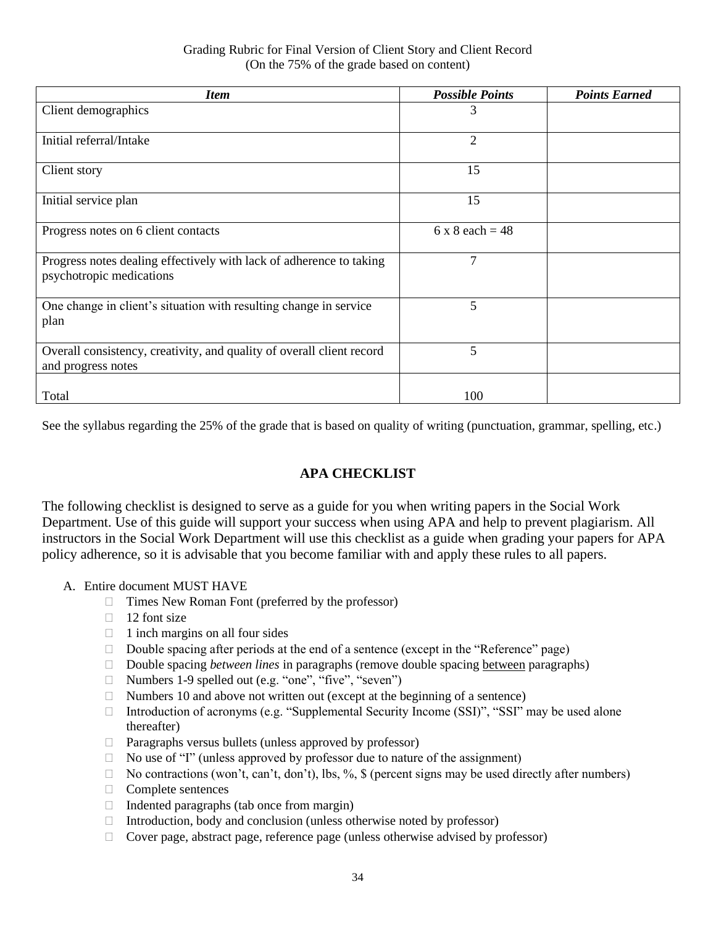| <b>Item</b>                                                                                     | <b>Possible Points</b> | <b>Points Earned</b> |
|-------------------------------------------------------------------------------------------------|------------------------|----------------------|
| Client demographics                                                                             | 3                      |                      |
| Initial referral/Intake                                                                         | $\overline{2}$         |                      |
| Client story                                                                                    | 15                     |                      |
| Initial service plan                                                                            | 15                     |                      |
| Progress notes on 6 client contacts                                                             | $6 \times 8$ each = 48 |                      |
| Progress notes dealing effectively with lack of adherence to taking<br>psychotropic medications | $\overline{7}$         |                      |
| One change in client's situation with resulting change in service<br>plan                       | 5                      |                      |
| Overall consistency, creativity, and quality of overall client record<br>and progress notes     | 5                      |                      |
| Total                                                                                           | 100                    |                      |

See the syllabus regarding the 25% of the grade that is based on quality of writing (punctuation, grammar, spelling, etc.)

### **APA CHECKLIST**

The following checklist is designed to serve as a guide for you when writing papers in the Social Work Department. Use of this guide will support your success when using APA and help to prevent plagiarism. All instructors in the Social Work Department will use this checklist as a guide when grading your papers for APA policy adherence, so it is advisable that you become familiar with and apply these rules to all papers.

- A. Entire document MUST HAVE
	- $\Box$  Times New Roman Font (preferred by the professor)
	- $\Box$  12 font size
	- $\Box$  1 inch margins on all four sides
	- $\Box$  Double spacing after periods at the end of a sentence (except in the "Reference" page)
	- □ Double spacing *between lines* in paragraphs (remove double spacing between paragraphs)
	- □ Numbers 1-9 spelled out (e.g. "one", "five", "seven")
	- $\Box$  Numbers 10 and above not written out (except at the beginning of a sentence)
	- □ Introduction of acronyms (e.g. "Supplemental Security Income (SSI)", "SSI" may be used alone thereafter)
	- $\Box$  Paragraphs versus bullets (unless approved by professor)
	- $\Box$  No use of "I" (unless approved by professor due to nature of the assignment)
	- $\Box$  No contractions (won't, can't, don't), lbs, %, \$ (percent signs may be used directly after numbers)
	- Complete sentences
	- $\Box$  Indented paragraphs (tab once from margin)
	- $\Box$  Introduction, body and conclusion (unless otherwise noted by professor)
	- $\Box$  Cover page, abstract page, reference page (unless otherwise advised by professor)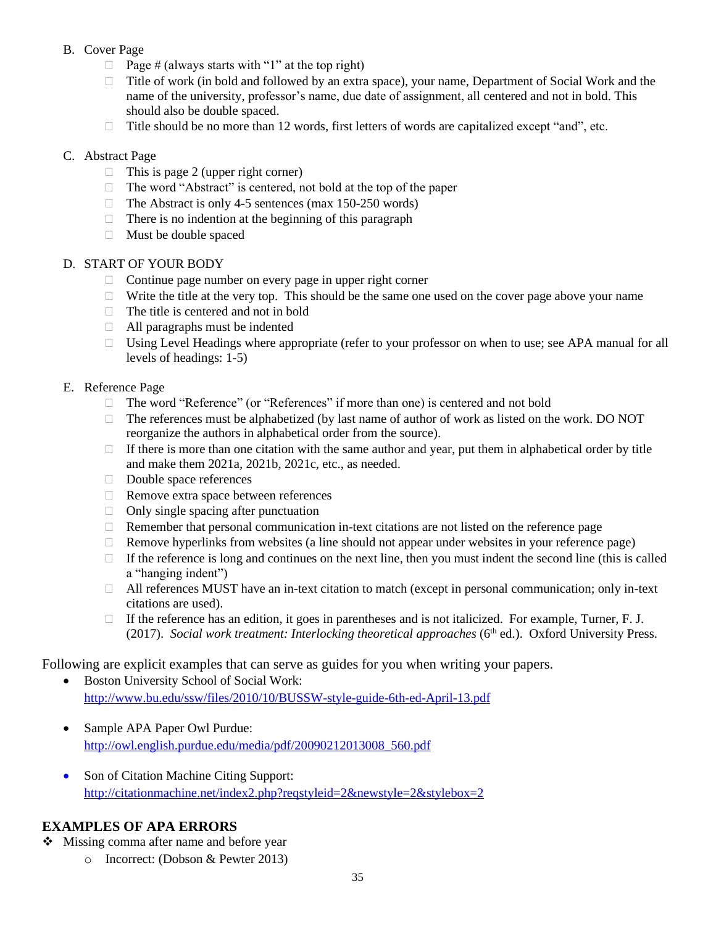#### B. Cover Page

- $\Box$  Page # (always starts with "1" at the top right)
- □ Title of work (in bold and followed by an extra space), your name, Department of Social Work and the name of the university, professor's name, due date of assignment, all centered and not in bold. This should also be double spaced.
- $\Box$  Title should be no more than 12 words, first letters of words are capitalized except "and", etc.

#### C. Abstract Page

- $\Box$  This is page 2 (upper right corner)
- □ The word "Abstract" is centered, not bold at the top of the paper
- $\Box$  The Abstract is only 4-5 sentences (max 150-250 words)
- $\Box$  There is no indention at the beginning of this paragraph
- $\Box$  Must be double spaced

#### D. START OF YOUR BODY

- $\Box$  Continue page number on every page in upper right corner
- $\Box$  Write the title at the very top. This should be the same one used on the cover page above your name
- $\Box$  The title is centered and not in bold
- $\Box$  All paragraphs must be indented
- $\Box$  Using Level Headings where appropriate (refer to your professor on when to use; see APA manual for all levels of headings: 1-5)

#### E. Reference Page

- The word "Reference" (or "References" if more than one) is centered and not bold
- $\Box$  The references must be alphabetized (by last name of author of work as listed on the work. DO NOT reorganize the authors in alphabetical order from the source).
- $\Box$  If there is more than one citation with the same author and year, put them in alphabetical order by title and make them 2021a, 2021b, 2021c, etc., as needed.
- Double space references
- □ Remove extra space between references
- $\Box$  Only single spacing after punctuation
- $\Box$  Remember that personal communication in-text citations are not listed on the reference page
- $\Box$  Remove hyperlinks from websites (a line should not appear under websites in your reference page)
- $\Box$  If the reference is long and continues on the next line, then you must indent the second line (this is called a "hanging indent")
- $\Box$  All references MUST have an in-text citation to match (except in personal communication; only in-text citations are used).
- $\Box$  If the reference has an edition, it goes in parentheses and is not italicized. For example, Turner, F. J. (2017). Social work treatment: Interlocking theoretical approaches (6<sup>th</sup> ed.). Oxford University Press.

### Following are explicit examples that can serve as guides for you when writing your papers.

- Boston University School of Social Work: <http://www.bu.edu/ssw/files/2010/10/BUSSW-style-guide-6th-ed-April-13.pdf>
- Sample APA Paper Owl Purdue: [http://owl.english.purdue.edu/media/pdf/20090212013008\\_560.pdf](http://owl.english.purdue.edu/media/pdf/20090212013008_560.pdf)
- Son of Citation Machine Citing Support: <http://citationmachine.net/index2.php?reqstyleid=2&newstyle=2&stylebox=2>

# **EXAMPLES OF APA ERRORS**

- ❖ Missing comma after name and before year
	- o Incorrect: (Dobson & Pewter 2013)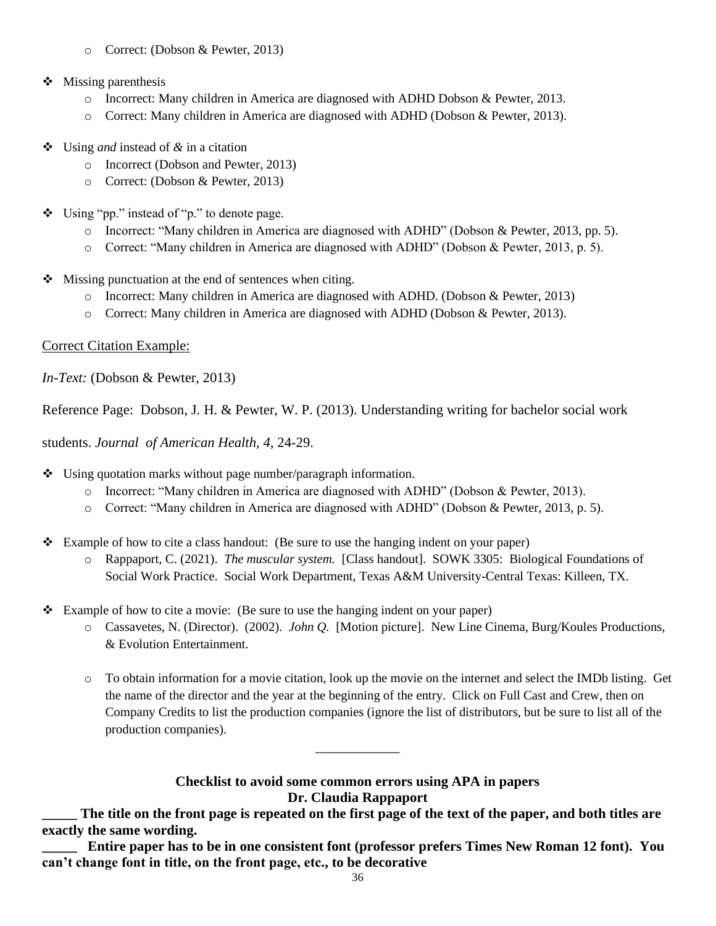- o Correct: (Dobson & Pewter, 2013)
- ❖ Missing parenthesis
	- o Incorrect: Many children in America are diagnosed with ADHD Dobson & Pewter, 2013.
	- o Correct: Many children in America are diagnosed with ADHD (Dobson & Pewter, 2013).
- ❖ Using *and* instead of *&* in a citation
	- o Incorrect (Dobson and Pewter, 2013)
	- o Correct: (Dobson & Pewter, 2013)
- ❖ Using "pp." instead of "p." to denote page.
	- o Incorrect: "Many children in America are diagnosed with ADHD" (Dobson & Pewter, 2013, pp. 5).
	- o Correct: "Many children in America are diagnosed with ADHD" (Dobson & Pewter, 2013, p. 5).
- ❖ Missing punctuation at the end of sentences when citing.
	- o Incorrect: Many children in America are diagnosed with ADHD. (Dobson & Pewter, 2013)
	- o Correct: Many children in America are diagnosed with ADHD (Dobson & Pewter, 2013).

#### Correct Citation Example:

*In-Text:* (Dobson & Pewter, 2013)

Reference Page: Dobson, J. H. & Pewter, W. P. (2013). Understanding writing for bachelor social work

students. *Journal of American Health, 4,* 24-29.

- ❖ Using quotation marks without page number/paragraph information.
	- o Incorrect: "Many children in America are diagnosed with ADHD" (Dobson & Pewter, 2013).
	- o Correct: "Many children in America are diagnosed with ADHD" (Dobson & Pewter, 2013, p. 5).
- ❖ Example of how to cite a class handout: (Be sure to use the hanging indent on your paper)
	- o Rappaport, C. (2021). *The muscular system.* [Class handout]. SOWK 3305: Biological Foundations of Social Work Practice. Social Work Department, Texas A&M University-Central Texas: Killeen, TX.
- ❖ Example of how to cite a movie: (Be sure to use the hanging indent on your paper)
	- o Cassavetes, N. (Director). (2002). *John Q.* [Motion picture]. New Line Cinema, Burg/Koules Productions, & Evolution Entertainment.
	- o To obtain information for a movie citation, look up the movie on the internet and select the IMDb listing. Get the name of the director and the year at the beginning of the entry. Click on Full Cast and Crew, then on Company Credits to list the production companies (ignore the list of distributors, but be sure to list all of the production companies).

#### **Checklist to avoid some common errors using APA in papers Dr. Claudia Rappaport**

\_\_\_\_\_\_\_\_\_\_\_\_

The title on the front page is repeated on the first page of the text of the paper, and both titles are **exactly the same wording.**

**\_\_\_\_\_ Entire paper has to be in one consistent font (professor prefers Times New Roman 12 font). You can't change font in title, on the front page, etc., to be decorative**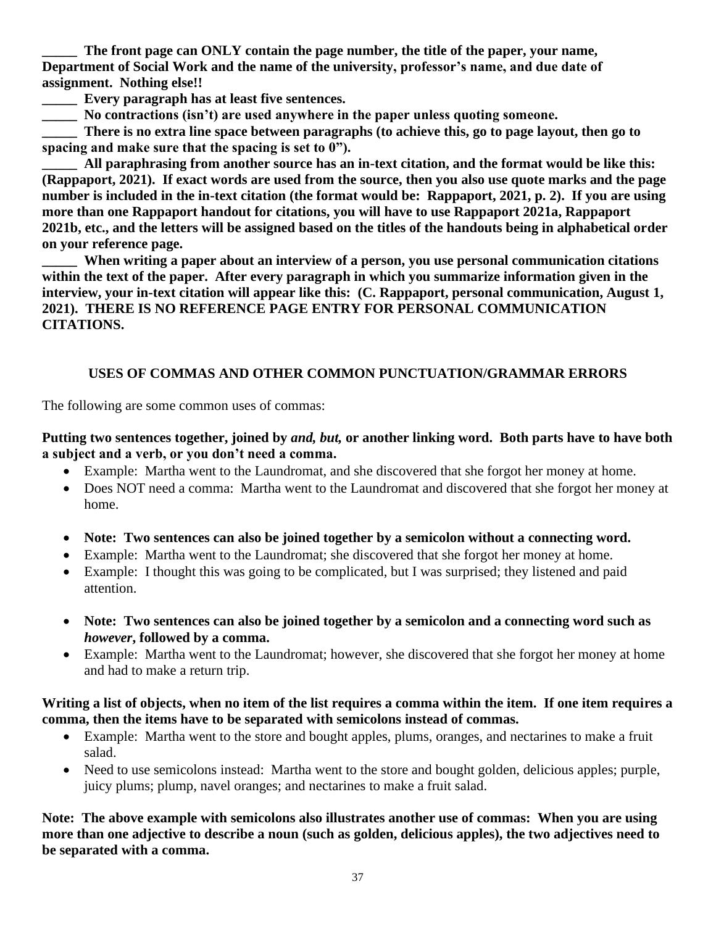The front page can ONLY contain the page number, the title of the paper, your name, **Department of Social Work and the name of the university, professor's name, and due date of assignment. Nothing else!!**

**\_\_\_\_\_ Every paragraph has at least five sentences.**

**\_\_\_\_\_ No contractions (isn't) are used anywhere in the paper unless quoting someone.**

**\_\_\_\_\_ There is no extra line space between paragraphs (to achieve this, go to page layout, then go to spacing and make sure that the spacing is set to 0").**

**\_\_\_\_\_ All paraphrasing from another source has an in-text citation, and the format would be like this: (Rappaport, 2021). If exact words are used from the source, then you also use quote marks and the page number is included in the in-text citation (the format would be: Rappaport, 2021, p. 2). If you are using more than one Rappaport handout for citations, you will have to use Rappaport 2021a, Rappaport 2021b, etc., and the letters will be assigned based on the titles of the handouts being in alphabetical order on your reference page.**

**\_\_\_\_\_ When writing a paper about an interview of a person, you use personal communication citations within the text of the paper. After every paragraph in which you summarize information given in the interview, your in-text citation will appear like this: (C. Rappaport, personal communication, August 1, 2021). THERE IS NO REFERENCE PAGE ENTRY FOR PERSONAL COMMUNICATION CITATIONS.**

# **USES OF COMMAS AND OTHER COMMON PUNCTUATION/GRAMMAR ERRORS**

The following are some common uses of commas:

### **Putting two sentences together, joined by** *and, but,* **or another linking word. Both parts have to have both a subject and a verb, or you don't need a comma.**

- Example: Martha went to the Laundromat, and she discovered that she forgot her money at home.
- Does NOT need a comma: Martha went to the Laundromat and discovered that she forgot her money at home.
- **Note: Two sentences can also be joined together by a semicolon without a connecting word.**
- Example: Martha went to the Laundromat: she discovered that she forgot her money at home.
- Example: I thought this was going to be complicated, but I was surprised; they listened and paid attention.
- **Note: Two sentences can also be joined together by a semicolon and a connecting word such as**  *however***, followed by a comma.**
- Example: Martha went to the Laundromat; however, she discovered that she forgot her money at home and had to make a return trip.

#### **Writing a list of objects, when no item of the list requires a comma within the item. If one item requires a comma, then the items have to be separated with semicolons instead of commas.**

- Example: Martha went to the store and bought apples, plums, oranges, and nectarines to make a fruit salad.
- Need to use semicolons instead: Martha went to the store and bought golden, delicious apples; purple, juicy plums; plump, navel oranges; and nectarines to make a fruit salad.

**Note: The above example with semicolons also illustrates another use of commas: When you are using more than one adjective to describe a noun (such as golden, delicious apples), the two adjectives need to be separated with a comma.**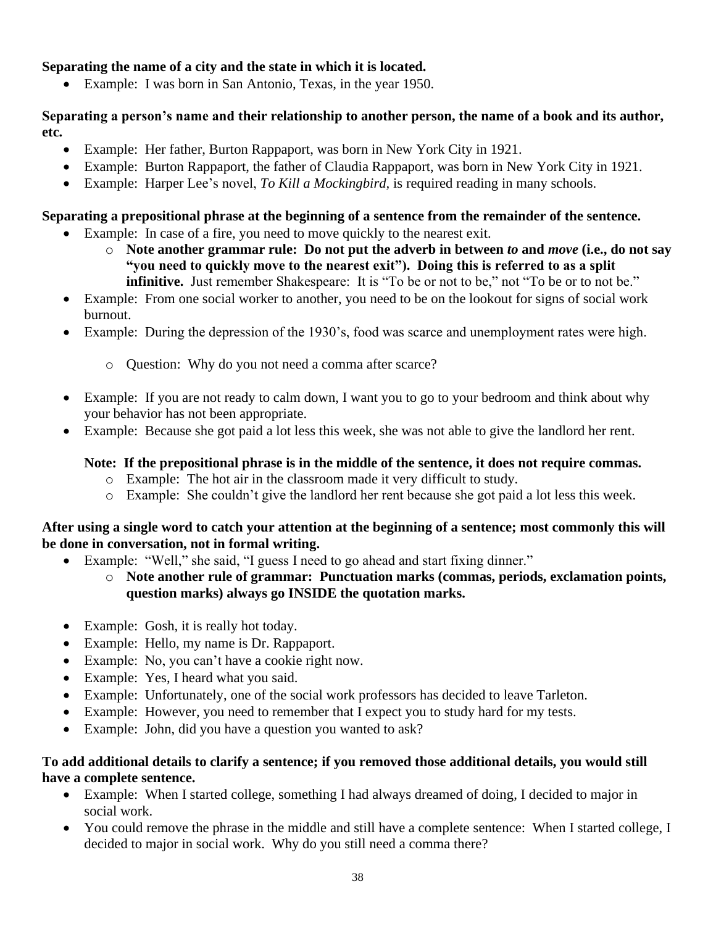## **Separating the name of a city and the state in which it is located.**

• Example: I was born in San Antonio, Texas, in the year 1950.

#### **Separating a person's name and their relationship to another person, the name of a book and its author, etc.**

- Example: Her father, Burton Rappaport, was born in New York City in 1921.
- Example: Burton Rappaport, the father of Claudia Rappaport, was born in New York City in 1921.
- Example: Harper Lee's novel, *To Kill a Mockingbird,* is required reading in many schools.

## **Separating a prepositional phrase at the beginning of a sentence from the remainder of the sentence.**

- Example: In case of a fire, you need to move quickly to the nearest exit.
	- o **Note another grammar rule: Do not put the adverb in between** *to* **and** *move* **(i.e., do not say "you need to quickly move to the nearest exit"). Doing this is referred to as a split infinitive.** Just remember Shakespeare: It is "To be or not to be," not "To be or to not be."
- Example: From one social worker to another, you need to be on the lookout for signs of social work burnout.
- Example: During the depression of the 1930's, food was scarce and unemployment rates were high.
	- o Question: Why do you not need a comma after scarce?
- Example: If you are not ready to calm down, I want you to go to your bedroom and think about why your behavior has not been appropriate.
- Example: Because she got paid a lot less this week, she was not able to give the landlord her rent.

## **Note: If the prepositional phrase is in the middle of the sentence, it does not require commas.**

- o Example: The hot air in the classroom made it very difficult to study.
- o Example: She couldn't give the landlord her rent because she got paid a lot less this week.

### **After using a single word to catch your attention at the beginning of a sentence; most commonly this will be done in conversation, not in formal writing.**

- Example: "Well," she said, "I guess I need to go ahead and start fixing dinner."
	- o **Note another rule of grammar: Punctuation marks (commas, periods, exclamation points, question marks) always go INSIDE the quotation marks.**
- Example: Gosh, it is really hot today.
- Example: Hello, my name is Dr. Rappaport.
- Example: No, you can't have a cookie right now.
- Example: Yes, I heard what you said.
- Example: Unfortunately, one of the social work professors has decided to leave Tarleton.
- Example: However, you need to remember that I expect you to study hard for my tests.
- Example: John, did you have a question you wanted to ask?

### **To add additional details to clarify a sentence; if you removed those additional details, you would still have a complete sentence.**

- Example: When I started college, something I had always dreamed of doing, I decided to major in social work.
- You could remove the phrase in the middle and still have a complete sentence: When I started college, I decided to major in social work. Why do you still need a comma there?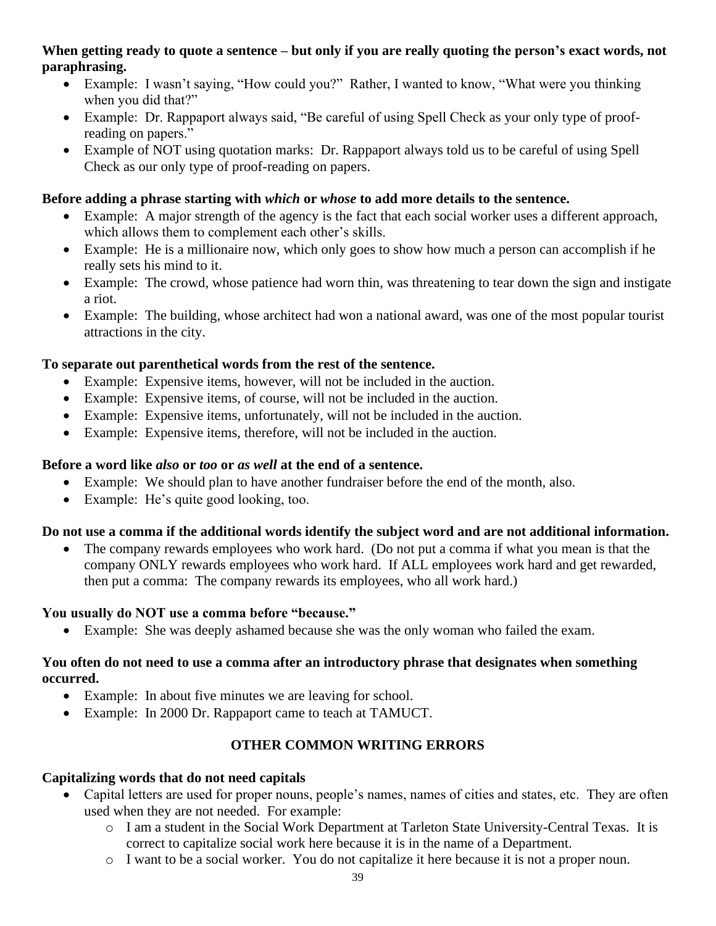#### **When getting ready to quote a sentence – but only if you are really quoting the person's exact words, not paraphrasing.**

- Example: I wasn't saying, "How could you?" Rather, I wanted to know, "What were you thinking when you did that?"
- Example: Dr. Rappaport always said, "Be careful of using Spell Check as your only type of proofreading on papers."
- Example of NOT using quotation marks: Dr. Rappaport always told us to be careful of using Spell Check as our only type of proof-reading on papers.

# **Before adding a phrase starting with** *which* **or** *whose* **to add more details to the sentence.**

- Example: A major strength of the agency is the fact that each social worker uses a different approach, which allows them to complement each other's skills.
- Example: He is a millionaire now, which only goes to show how much a person can accomplish if he really sets his mind to it.
- Example: The crowd, whose patience had worn thin, was threatening to tear down the sign and instigate a riot.
- Example: The building, whose architect had won a national award, was one of the most popular tourist attractions in the city.

### **To separate out parenthetical words from the rest of the sentence.**

- Example: Expensive items, however, will not be included in the auction.
- Example: Expensive items, of course, will not be included in the auction.
- Example: Expensive items, unfortunately, will not be included in the auction.
- Example: Expensive items, therefore, will not be included in the auction.

#### **Before a word like** *also* **or** *too* **or** *as well* **at the end of a sentence.**

- Example: We should plan to have another fundraiser before the end of the month, also.
- Example: He's quite good looking, too.

### **Do not use a comma if the additional words identify the subject word and are not additional information.**

• The company rewards employees who work hard. (Do not put a comma if what you mean is that the company ONLY rewards employees who work hard. If ALL employees work hard and get rewarded, then put a comma: The company rewards its employees, who all work hard.)

### **You usually do NOT use a comma before "because."**

• Example: She was deeply ashamed because she was the only woman who failed the exam.

#### **You often do not need to use a comma after an introductory phrase that designates when something occurred.**

- Example: In about five minutes we are leaving for school.
- Example: In 2000 Dr. Rappaport came to teach at TAMUCT.

# **OTHER COMMON WRITING ERRORS**

### **Capitalizing words that do not need capitals**

- Capital letters are used for proper nouns, people's names, names of cities and states, etc. They are often used when they are not needed. For example:
	- o I am a student in the Social Work Department at Tarleton State University-Central Texas. It is correct to capitalize social work here because it is in the name of a Department.
	- o I want to be a social worker. You do not capitalize it here because it is not a proper noun.